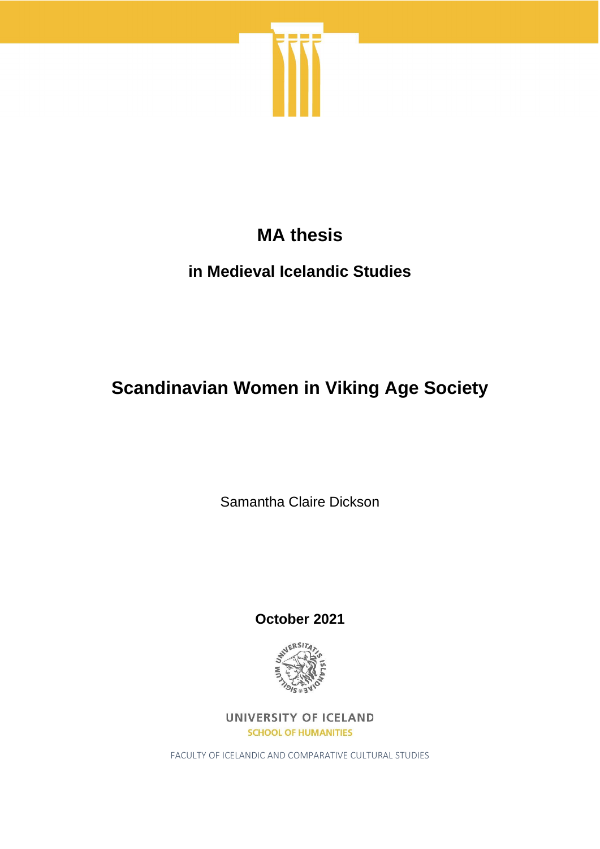

# **MA thesis**

# **in Medieval Icelandic Studies**

# **Scandinavian Women in Viking Age Society**

Samantha Claire Dickson

**October 2021**



UNIVERSITY OF ICELAND **SCHOOL OF HUMANITIES** 

FACULTY OF ICELANDIC AND COMPARATIVE CULTURAL STUDIES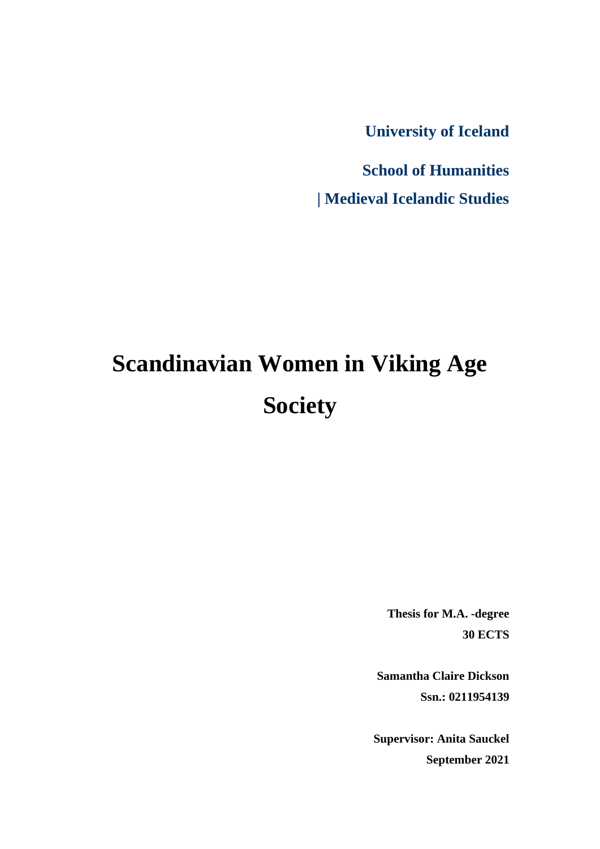**University of Iceland**

**School of Humanities | Medieval Icelandic Studies**

# **Scandinavian Women in Viking Age Society**

**Thesis for M.A. -degree 30 ECTS**

**Samantha Claire Dickson Ssn.: 0211954139**

**Supervisor: Anita Sauckel September 2021**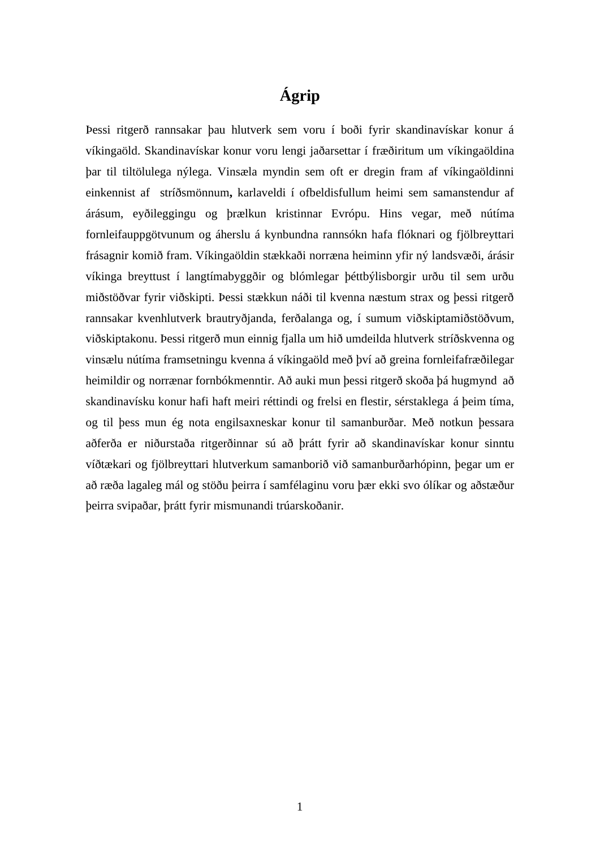## **Ágrip**

Þessi ritgerð rannsakar þau hlutverk sem voru í boði fyrir skandinavískar konur á víkingaöld. Skandinavískar konur voru lengi jaðarsettar í fræðiritum um víkingaöldina þar til tiltölulega nýlega. Vinsæla myndin sem oft er dregin fram af víkingaöldinni einkennist af stríðsmönnum**,** karlaveldi í ofbeldisfullum heimi sem samanstendur af árásum, eyðileggingu og þrælkun kristinnar Evrópu. Hins vegar, með nútíma fornleifauppgötvunum og áherslu á kynbundna rannsókn hafa flóknari og fjölbreyttari frásagnir komið fram. Víkingaöldin stækkaði norræna heiminn yfir ný landsvæði, árásir víkinga breyttust í langtímabyggðir og blómlegar þéttbýlisborgir urðu til sem urðu miðstöðvar fyrir viðskipti. Þessi stækkun náði til kvenna næstum strax og þessi ritgerð rannsakar kvenhlutverk brautryðjanda, ferðalanga og, í sumum viðskiptamiðstöðvum, viðskiptakonu. Þessi ritgerð mun einnig fjalla um hið umdeilda hlutverk stríðskvenna og vinsælu nútíma framsetningu kvenna á víkingaöld með því að greina fornleifafræðilegar heimildir og norrænar fornbókmenntir. Að auki mun þessi ritgerð skoða þá hugmynd að skandinavísku konur hafi haft meiri réttindi og frelsi en flestir, sérstaklega á þeim tíma, og til þess mun ég nota engilsaxneskar konur til samanburðar. Með notkun þessara aðferða er niðurstaða ritgerðinnar sú að þrátt fyrir að skandinavískar konur sinntu víðtækari og fjölbreyttari hlutverkum samanborið við samanburðarhópinn, þegar um er að ræða lagaleg mál og stöðu þeirra í samfélaginu voru þær ekki svo ólíkar og aðstæður þeirra svipaðar, þrátt fyrir mismunandi trúarskoðanir.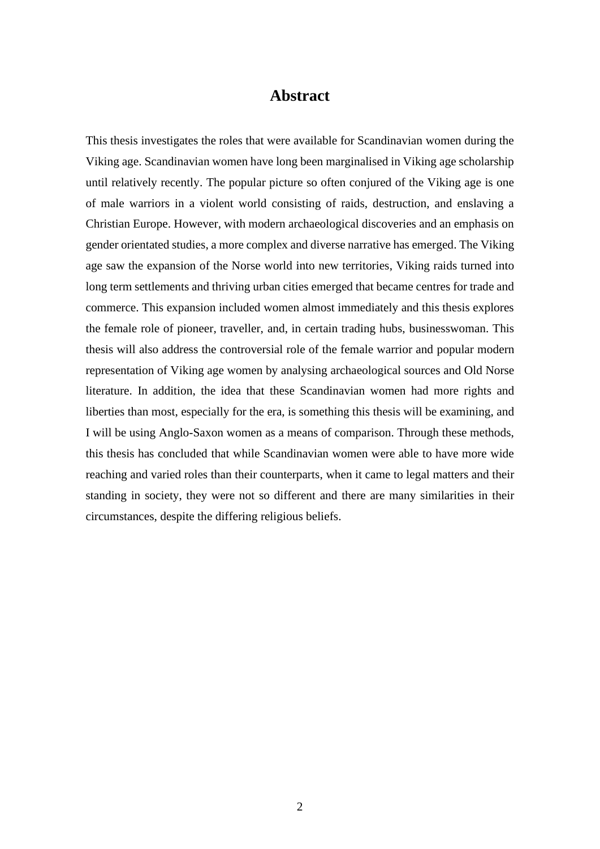#### **Abstract**

This thesis investigates the roles that were available for Scandinavian women during the Viking age. Scandinavian women have long been marginalised in Viking age scholarship until relatively recently. The popular picture so often conjured of the Viking age is one of male warriors in a violent world consisting of raids, destruction, and enslaving a Christian Europe. However, with modern archaeological discoveries and an emphasis on gender orientated studies, a more complex and diverse narrative has emerged. The Viking age saw the expansion of the Norse world into new territories, Viking raids turned into long term settlements and thriving urban cities emerged that became centres for trade and commerce. This expansion included women almost immediately and this thesis explores the female role of pioneer, traveller, and, in certain trading hubs, businesswoman. This thesis will also address the controversial role of the female warrior and popular modern representation of Viking age women by analysing archaeological sources and Old Norse literature. In addition, the idea that these Scandinavian women had more rights and liberties than most, especially for the era, is something this thesis will be examining, and I will be using Anglo-Saxon women as a means of comparison. Through these methods, this thesis has concluded that while Scandinavian women were able to have more wide reaching and varied roles than their counterparts, when it came to legal matters and their standing in society, they were not so different and there are many similarities in their circumstances, despite the differing religious beliefs.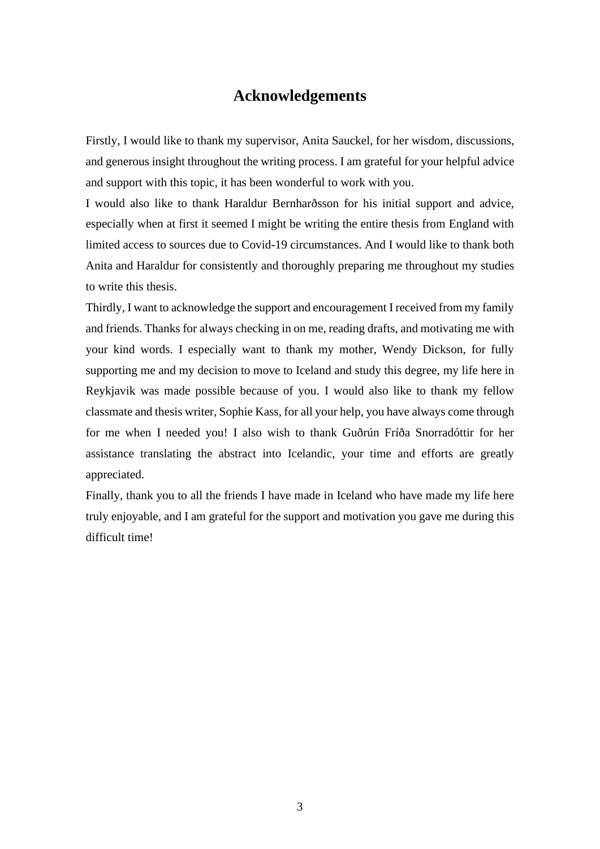### **Acknowledgements**

Firstly, I would like to thank my supervisor, Anita Sauckel, for her wisdom, discussions, and generous insight throughout the writing process. I am grateful for your helpful advice and support with this topic, it has been wonderful to work with you.

I would also like to thank Haraldur Bernharðsson for his initial support and advice, especially when at first it seemed I might be writing the entire thesis from England with limited access to sources due to Covid-19 circumstances. And I would like to thank both Anita and Haraldur for consistently and thoroughly preparing me throughout my studies to write this thesis.

Thirdly, I want to acknowledge the support and encouragement I received from my family and friends. Thanks for always checking in on me, reading drafts, and motivating me with your kind words. I especially want to thank my mother, Wendy Dickson, for fully supporting me and my decision to move to Iceland and study this degree, my life here in Reykjavik was made possible because of you. I would also like to thank my fellow classmate and thesis writer, Sophie Kass, for all your help, you have always come through for me when I needed you! I also wish to thank Guðrún Fríða Snorradóttir for her assistance translating the abstract into Icelandic, your time and efforts are greatly appreciated.

Finally, thank you to all the friends I have made in Iceland who have made my life here truly enjoyable, and I am grateful for the support and motivation you gave me during this difficult time!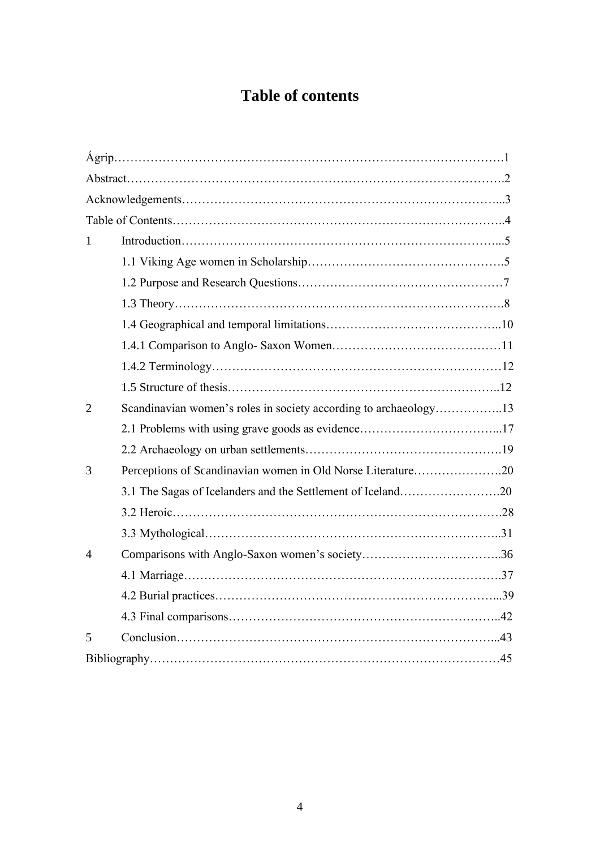# **Table of contents**

| 1              |                                                                  |  |  |
|----------------|------------------------------------------------------------------|--|--|
|                |                                                                  |  |  |
|                |                                                                  |  |  |
|                |                                                                  |  |  |
|                |                                                                  |  |  |
|                |                                                                  |  |  |
|                |                                                                  |  |  |
|                |                                                                  |  |  |
| $\overline{2}$ | Scandinavian women's roles in society according to archaeology13 |  |  |
|                |                                                                  |  |  |
|                |                                                                  |  |  |
| 3              | Perceptions of Scandinavian women in Old Norse Literature20      |  |  |
|                | 3.1 The Sagas of Icelanders and the Settlement of Iceland20      |  |  |
|                |                                                                  |  |  |
|                |                                                                  |  |  |
| $\overline{4}$ |                                                                  |  |  |
|                |                                                                  |  |  |
|                |                                                                  |  |  |
|                |                                                                  |  |  |
| 5              |                                                                  |  |  |
|                |                                                                  |  |  |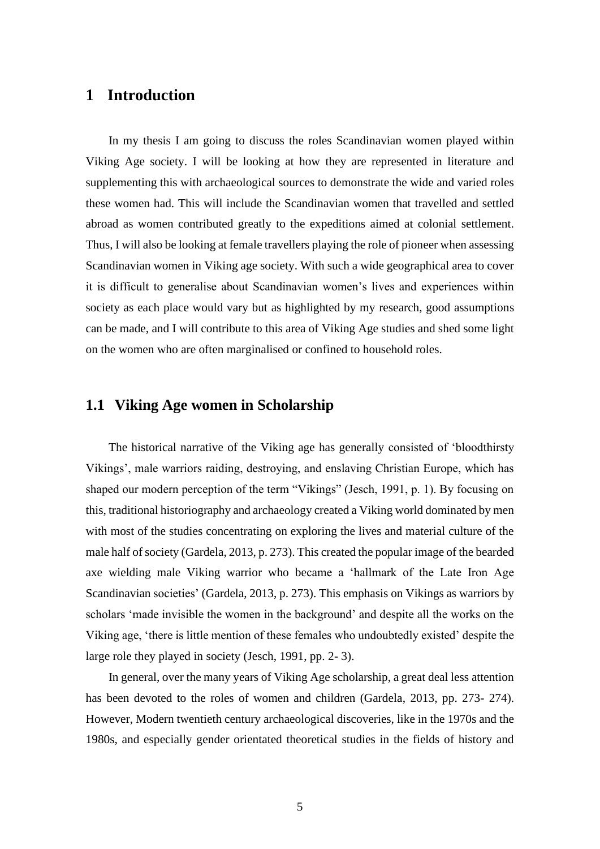#### **1 Introduction**

In my thesis I am going to discuss the roles Scandinavian women played within Viking Age society. I will be looking at how they are represented in literature and supplementing this with archaeological sources to demonstrate the wide and varied roles these women had. This will include the Scandinavian women that travelled and settled abroad as women contributed greatly to the expeditions aimed at colonial settlement. Thus, I will also be looking at female travellers playing the role of pioneer when assessing Scandinavian women in Viking age society. With such a wide geographical area to cover it is difficult to generalise about Scandinavian women's lives and experiences within society as each place would vary but as highlighted by my research, good assumptions can be made, and I will contribute to this area of Viking Age studies and shed some light on the women who are often marginalised or confined to household roles.

#### **1.1 Viking Age women in Scholarship**

The historical narrative of the Viking age has generally consisted of 'bloodthirsty Vikings', male warriors raiding, destroying, and enslaving Christian Europe, which has shaped our modern perception of the term "Vikings" (Jesch, 1991, p. 1). By focusing on this, traditional historiography and archaeology created a Viking world dominated by men with most of the studies concentrating on exploring the lives and material culture of the male half of society (Gardela, 2013, p. 273). This created the popular image of the bearded axe wielding male Viking warrior who became a 'hallmark of the Late Iron Age Scandinavian societies' (Gardela, 2013, p. 273). This emphasis on Vikings as warriors by scholars 'made invisible the women in the background' and despite all the works on the Viking age, 'there is little mention of these females who undoubtedly existed' despite the large role they played in society (Jesch, 1991, pp. 2- 3).

In general, over the many years of Viking Age scholarship, a great deal less attention has been devoted to the roles of women and children (Gardela, 2013, pp. 273- 274). However, Modern twentieth century archaeological discoveries, like in the 1970s and the 1980s, and especially gender orientated theoretical studies in the fields of history and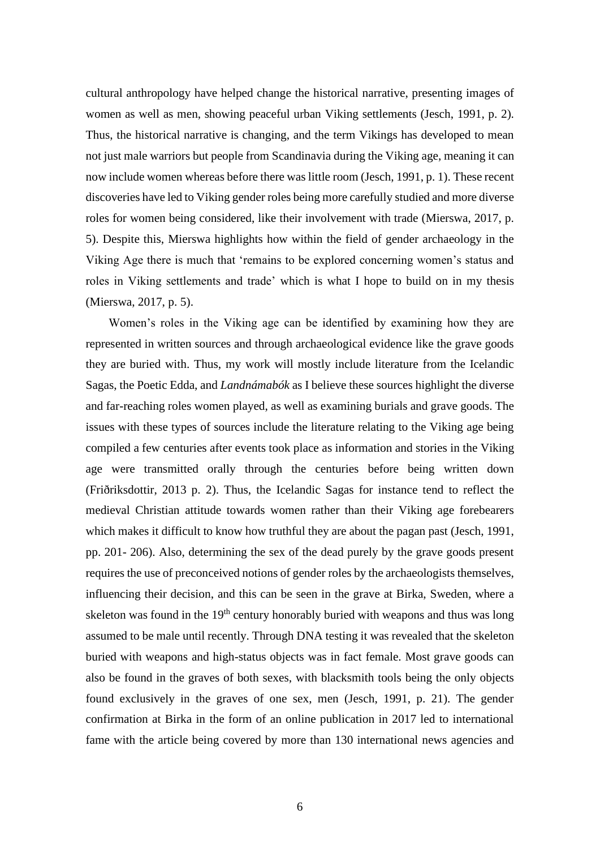cultural anthropology have helped change the historical narrative, presenting images of women as well as men, showing peaceful urban Viking settlements (Jesch, 1991, p. 2). Thus, the historical narrative is changing, and the term Vikings has developed to mean not just male warriors but people from Scandinavia during the Viking age, meaning it can now include women whereas before there was little room (Jesch, 1991, p. 1). These recent discoveries have led to Viking gender roles being more carefully studied and more diverse roles for women being considered, like their involvement with trade (Mierswa, 2017, p. 5). Despite this, Mierswa highlights how within the field of gender archaeology in the Viking Age there is much that 'remains to be explored concerning women's status and roles in Viking settlements and trade' which is what I hope to build on in my thesis (Mierswa, 2017, p. 5).

Women's roles in the Viking age can be identified by examining how they are represented in written sources and through archaeological evidence like the grave goods they are buried with. Thus, my work will mostly include literature from the Icelandic Sagas, the Poetic Edda, and *Landnámabók* as I believe these sources highlight the diverse and far-reaching roles women played, as well as examining burials and grave goods. The issues with these types of sources include the literature relating to the Viking age being compiled a few centuries after events took place as information and stories in the Viking age were transmitted orally through the centuries before being written down (Friðriksdottir, 2013 p. 2). Thus, the Icelandic Sagas for instance tend to reflect the medieval Christian attitude towards women rather than their Viking age forebearers which makes it difficult to know how truthful they are about the pagan past (Jesch, 1991, pp. 201- 206). Also, determining the sex of the dead purely by the grave goods present requires the use of preconceived notions of gender roles by the archaeologists themselves, influencing their decision, and this can be seen in the grave at Birka, Sweden, where a skeleton was found in the  $19<sup>th</sup>$  century honorably buried with weapons and thus was long assumed to be male until recently. Through DNA testing it was revealed that the skeleton buried with weapons and high-status objects was in fact female. Most grave goods can also be found in the graves of both sexes, with blacksmith tools being the only objects found exclusively in the graves of one sex, men (Jesch, 1991, p. 21). The gender confirmation at Birka in the form of an online publication in 2017 led to international fame with the article being covered by more than 130 international news agencies and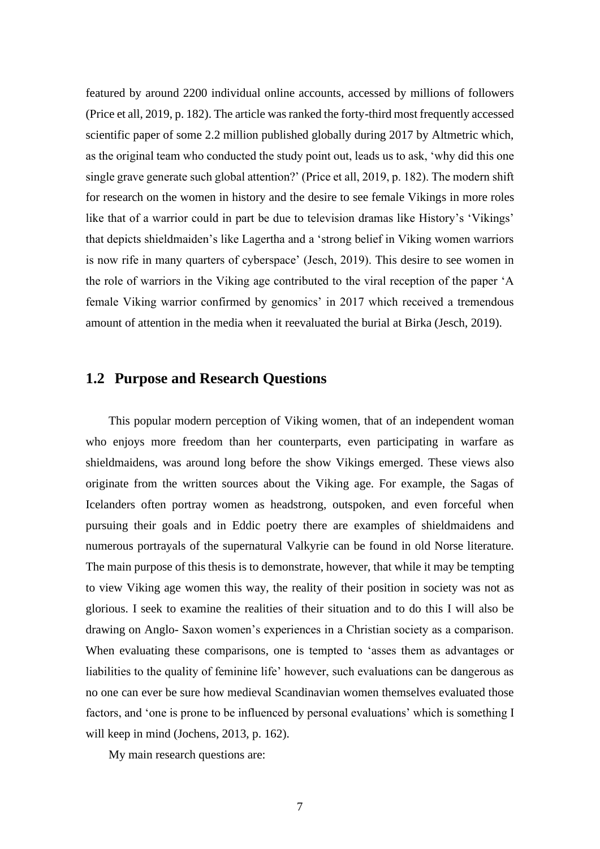featured by around 2200 individual online accounts, accessed by millions of followers (Price et all, 2019, p. 182). The article was ranked the forty-third most frequently accessed scientific paper of some 2.2 million published globally during 2017 by Altmetric which, as the original team who conducted the study point out, leads us to ask, 'why did this one single grave generate such global attention?' (Price et all, 2019, p. 182). The modern shift for research on the women in history and the desire to see female Vikings in more roles like that of a warrior could in part be due to television dramas like History's 'Vikings' that depicts shieldmaiden's like Lagertha and a 'strong belief in Viking women warriors is now rife in many quarters of cyberspace' (Jesch, 2019). This desire to see women in the role of warriors in the Viking age contributed to the viral reception of the paper 'A female Viking warrior confirmed by genomics' in 2017 which received a tremendous amount of attention in the media when it reevaluated the burial at Birka (Jesch, 2019).

#### **1.2 Purpose and Research Questions**

This popular modern perception of Viking women, that of an independent woman who enjoys more freedom than her counterparts, even participating in warfare as shieldmaidens, was around long before the show Vikings emerged. These views also originate from the written sources about the Viking age. For example, the Sagas of Icelanders often portray women as headstrong, outspoken, and even forceful when pursuing their goals and in Eddic poetry there are examples of shieldmaidens and numerous portrayals of the supernatural Valkyrie can be found in old Norse literature. The main purpose of this thesis is to demonstrate, however, that while it may be tempting to view Viking age women this way, the reality of their position in society was not as glorious. I seek to examine the realities of their situation and to do this I will also be drawing on Anglo- Saxon women's experiences in a Christian society as a comparison. When evaluating these comparisons, one is tempted to 'asses them as advantages or liabilities to the quality of feminine life' however, such evaluations can be dangerous as no one can ever be sure how medieval Scandinavian women themselves evaluated those factors, and 'one is prone to be influenced by personal evaluations' which is something I will keep in mind (Jochens, 2013, p. 162).

My main research questions are: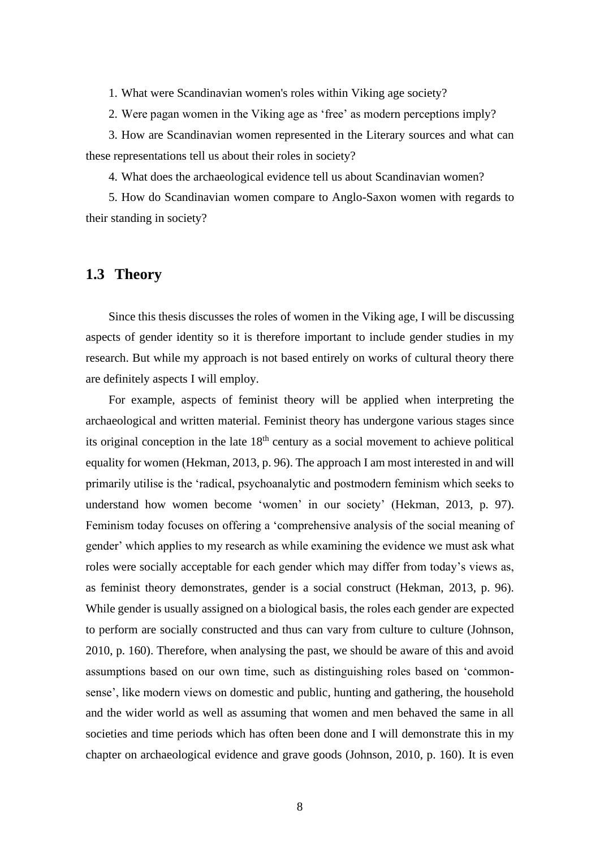1. What were Scandinavian women's roles within Viking age society?

2. Were pagan women in the Viking age as 'free' as modern perceptions imply?

3. How are Scandinavian women represented in the Literary sources and what can these representations tell us about their roles in society?

4. What does the archaeological evidence tell us about Scandinavian women?

5. How do Scandinavian women compare to Anglo-Saxon women with regards to their standing in society?

#### **1.3 Theory**

Since this thesis discusses the roles of women in the Viking age, I will be discussing aspects of gender identity so it is therefore important to include gender studies in my research. But while my approach is not based entirely on works of cultural theory there are definitely aspects I will employ.

For example, aspects of feminist theory will be applied when interpreting the archaeological and written material. Feminist theory has undergone various stages since its original conception in the late  $18<sup>th</sup>$  century as a social movement to achieve political equality for women (Hekman, 2013, p. 96). The approach I am most interested in and will primarily utilise is the 'radical, psychoanalytic and postmodern feminism which seeks to understand how women become 'women' in our society' (Hekman, 2013, p. 97). Feminism today focuses on offering a 'comprehensive analysis of the social meaning of gender' which applies to my research as while examining the evidence we must ask what roles were socially acceptable for each gender which may differ from today's views as, as feminist theory demonstrates, gender is a social construct (Hekman, 2013, p. 96). While gender is usually assigned on a biological basis, the roles each gender are expected to perform are socially constructed and thus can vary from culture to culture (Johnson, 2010, p. 160). Therefore, when analysing the past, we should be aware of this and avoid assumptions based on our own time, such as distinguishing roles based on 'commonsense', like modern views on domestic and public, hunting and gathering, the household and the wider world as well as assuming that women and men behaved the same in all societies and time periods which has often been done and I will demonstrate this in my chapter on archaeological evidence and grave goods (Johnson, 2010, p. 160). It is even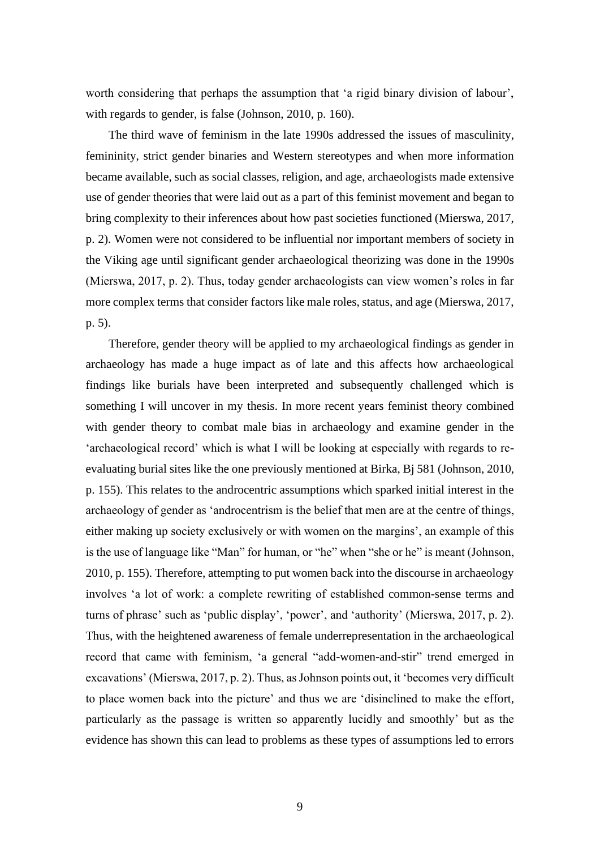worth considering that perhaps the assumption that 'a rigid binary division of labour', with regards to gender, is false (Johnson, 2010, p. 160).

The third wave of feminism in the late 1990s addressed the issues of masculinity, femininity, strict gender binaries and Western stereotypes and when more information became available, such as social classes, religion, and age, archaeologists made extensive use of gender theories that were laid out as a part of this feminist movement and began to bring complexity to their inferences about how past societies functioned (Mierswa, 2017, p. 2). Women were not considered to be influential nor important members of society in the Viking age until significant gender archaeological theorizing was done in the 1990s (Mierswa, 2017, p. 2). Thus, today gender archaeologists can view women's roles in far more complex terms that consider factors like male roles, status, and age (Mierswa, 2017, p. 5).

Therefore, gender theory will be applied to my archaeological findings as gender in archaeology has made a huge impact as of late and this affects how archaeological findings like burials have been interpreted and subsequently challenged which is something I will uncover in my thesis. In more recent years feminist theory combined with gender theory to combat male bias in archaeology and examine gender in the 'archaeological record' which is what I will be looking at especially with regards to reevaluating burial sites like the one previously mentioned at Birka, Bj 581 (Johnson, 2010, p. 155). This relates to the androcentric assumptions which sparked initial interest in the archaeology of gender as 'androcentrism is the belief that men are at the centre of things, either making up society exclusively or with women on the margins', an example of this is the use of language like "Man" for human, or "he" when "she or he" is meant (Johnson, 2010, p. 155). Therefore, attempting to put women back into the discourse in archaeology involves 'a lot of work: a complete rewriting of established common-sense terms and turns of phrase' such as 'public display', 'power', and 'authority' (Mierswa, 2017, p. 2). Thus, with the heightened awareness of female underrepresentation in the archaeological record that came with feminism, 'a general "add-women-and-stir" trend emerged in excavations' (Mierswa, 2017, p. 2). Thus, as Johnson points out, it 'becomes very difficult to place women back into the picture' and thus we are 'disinclined to make the effort, particularly as the passage is written so apparently lucidly and smoothly' but as the evidence has shown this can lead to problems as these types of assumptions led to errors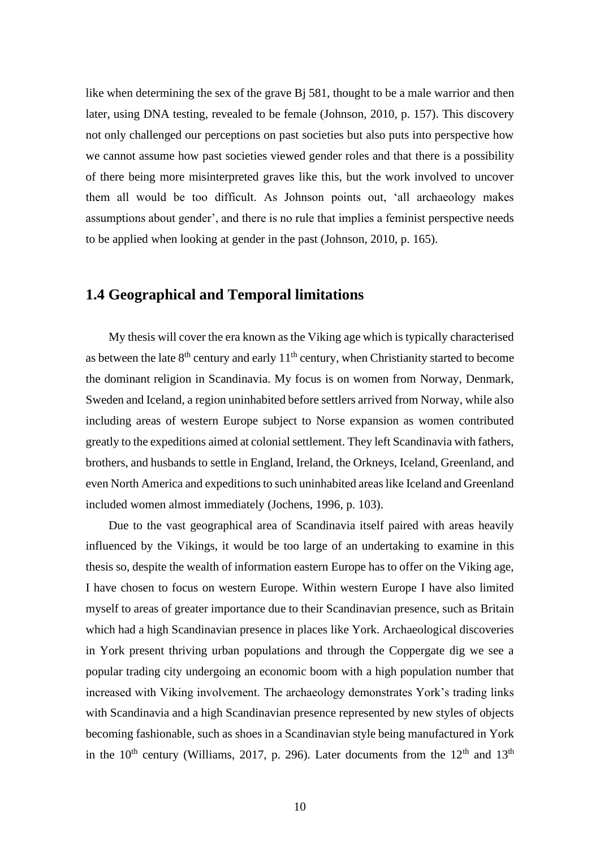like when determining the sex of the grave Bj 581, thought to be a male warrior and then later, using DNA testing, revealed to be female (Johnson, 2010, p. 157). This discovery not only challenged our perceptions on past societies but also puts into perspective how we cannot assume how past societies viewed gender roles and that there is a possibility of there being more misinterpreted graves like this, but the work involved to uncover them all would be too difficult. As Johnson points out, 'all archaeology makes assumptions about gender', and there is no rule that implies a feminist perspective needs to be applied when looking at gender in the past (Johnson, 2010, p. 165).

#### **1.4 Geographical and Temporal limitations**

My thesis will cover the era known as the Viking age which is typically characterised as between the late  $8<sup>th</sup>$  century and early  $11<sup>th</sup>$  century, when Christianity started to become the dominant religion in Scandinavia. My focus is on women from Norway, Denmark, Sweden and Iceland, a region uninhabited before settlers arrived from Norway, while also including areas of western Europe subject to Norse expansion as women contributed greatly to the expeditions aimed at colonial settlement. They left Scandinavia with fathers, brothers, and husbands to settle in England, Ireland, the Orkneys, Iceland, Greenland, and even North America and expeditions to such uninhabited areas like Iceland and Greenland included women almost immediately (Jochens, 1996, p. 103).

Due to the vast geographical area of Scandinavia itself paired with areas heavily influenced by the Vikings, it would be too large of an undertaking to examine in this thesis so, despite the wealth of information eastern Europe has to offer on the Viking age, I have chosen to focus on western Europe. Within western Europe I have also limited myself to areas of greater importance due to their Scandinavian presence, such as Britain which had a high Scandinavian presence in places like York. Archaeological discoveries in York present thriving urban populations and through the Coppergate dig we see a popular trading city undergoing an economic boom with a high population number that increased with Viking involvement. The archaeology demonstrates York's trading links with Scandinavia and a high Scandinavian presence represented by new styles of objects becoming fashionable, such as shoes in a Scandinavian style being manufactured in York in the  $10^{th}$  century (Williams, 2017, p. 296). Later documents from the  $12^{th}$  and  $13^{th}$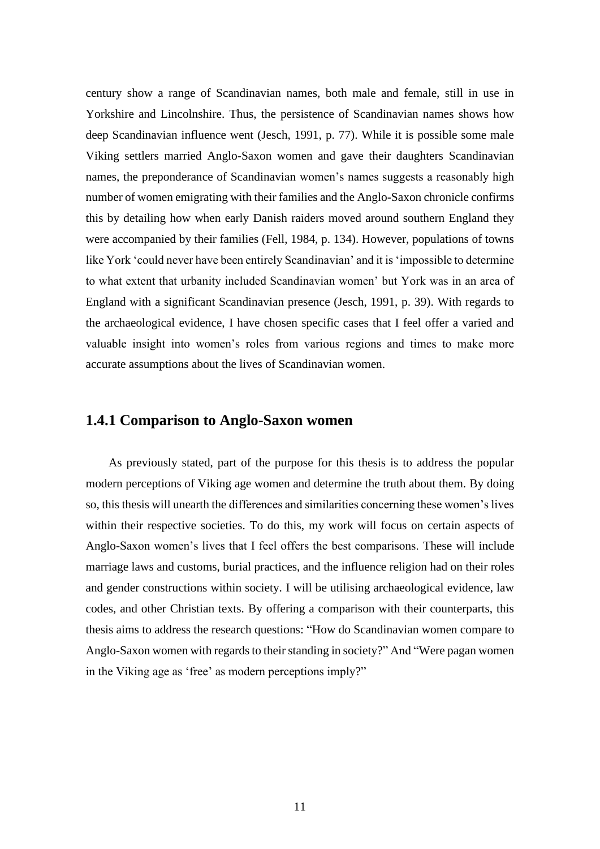century show a range of Scandinavian names, both male and female, still in use in Yorkshire and Lincolnshire. Thus, the persistence of Scandinavian names shows how deep Scandinavian influence went (Jesch, 1991, p. 77). While it is possible some male Viking settlers married Anglo-Saxon women and gave their daughters Scandinavian names, the preponderance of Scandinavian women's names suggests a reasonably high number of women emigrating with their families and the Anglo-Saxon chronicle confirms this by detailing how when early Danish raiders moved around southern England they were accompanied by their families (Fell, 1984, p. 134). However, populations of towns like York 'could never have been entirely Scandinavian' and it is 'impossible to determine to what extent that urbanity included Scandinavian women' but York was in an area of England with a significant Scandinavian presence (Jesch, 1991, p. 39). With regards to the archaeological evidence, I have chosen specific cases that I feel offer a varied and valuable insight into women's roles from various regions and times to make more accurate assumptions about the lives of Scandinavian women.

#### **1.4.1 Comparison to Anglo-Saxon women**

As previously stated, part of the purpose for this thesis is to address the popular modern perceptions of Viking age women and determine the truth about them. By doing so, this thesis will unearth the differences and similarities concerning these women's lives within their respective societies. To do this, my work will focus on certain aspects of Anglo-Saxon women's lives that I feel offers the best comparisons. These will include marriage laws and customs, burial practices, and the influence religion had on their roles and gender constructions within society. I will be utilising archaeological evidence, law codes, and other Christian texts. By offering a comparison with their counterparts, this thesis aims to address the research questions: "How do Scandinavian women compare to Anglo-Saxon women with regards to their standing in society?" And "Were pagan women in the Viking age as 'free' as modern perceptions imply?"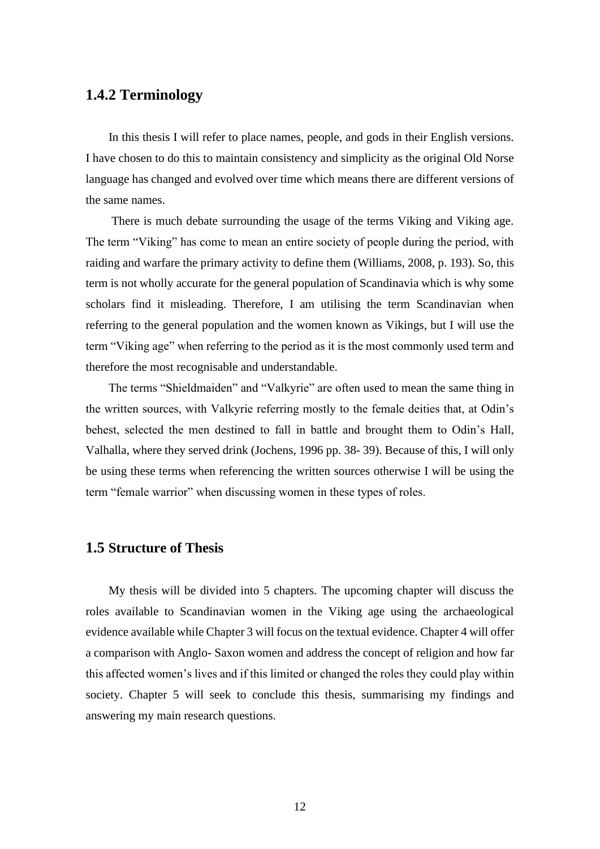#### **1.4.2 Terminology**

In this thesis I will refer to place names, people, and gods in their English versions. I have chosen to do this to maintain consistency and simplicity as the original Old Norse language has changed and evolved over time which means there are different versions of the same names.

There is much debate surrounding the usage of the terms Viking and Viking age. The term "Viking" has come to mean an entire society of people during the period, with raiding and warfare the primary activity to define them (Williams, 2008, p. 193). So, this term is not wholly accurate for the general population of Scandinavia which is why some scholars find it misleading. Therefore, I am utilising the term Scandinavian when referring to the general population and the women known as Vikings, but I will use the term "Viking age" when referring to the period as it is the most commonly used term and therefore the most recognisable and understandable.

The terms "Shieldmaiden" and "Valkyrie" are often used to mean the same thing in the written sources, with Valkyrie referring mostly to the female deities that, at Odin's behest, selected the men destined to fall in battle and brought them to Odin's Hall, Valhalla, where they served drink (Jochens, 1996 pp. 38- 39). Because of this, I will only be using these terms when referencing the written sources otherwise I will be using the term "female warrior" when discussing women in these types of roles.

#### **1.5 Structure of Thesis**

My thesis will be divided into 5 chapters. The upcoming chapter will discuss the roles available to Scandinavian women in the Viking age using the archaeological evidence available while Chapter 3 will focus on the textual evidence. Chapter 4 will offer a comparison with Anglo- Saxon women and address the concept of religion and how far this affected women's lives and if this limited or changed the roles they could play within society. Chapter 5 will seek to conclude this thesis, summarising my findings and answering my main research questions.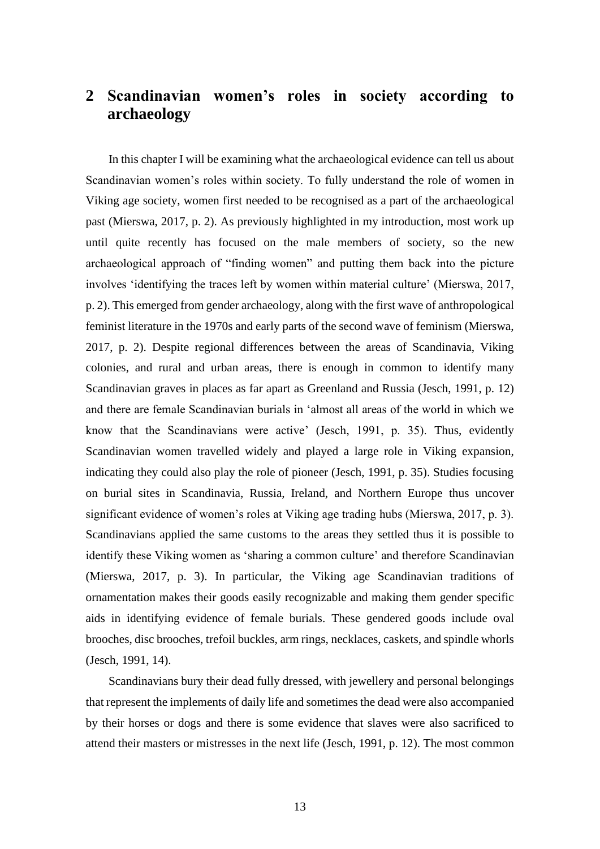## **2 Scandinavian women's roles in society according to archaeology**

In this chapter I will be examining what the archaeological evidence can tell us about Scandinavian women's roles within society. To fully understand the role of women in Viking age society, women first needed to be recognised as a part of the archaeological past (Mierswa, 2017, p. 2). As previously highlighted in my introduction, most work up until quite recently has focused on the male members of society, so the new archaeological approach of "finding women" and putting them back into the picture involves 'identifying the traces left by women within material culture' (Mierswa, 2017, p. 2). This emerged from gender archaeology, along with the first wave of anthropological feminist literature in the 1970s and early parts of the second wave of feminism (Mierswa, 2017, p. 2). Despite regional differences between the areas of Scandinavia, Viking colonies, and rural and urban areas, there is enough in common to identify many Scandinavian graves in places as far apart as Greenland and Russia (Jesch, 1991, p. 12) and there are female Scandinavian burials in 'almost all areas of the world in which we know that the Scandinavians were active' (Jesch, 1991, p. 35). Thus, evidently Scandinavian women travelled widely and played a large role in Viking expansion, indicating they could also play the role of pioneer (Jesch, 1991, p. 35). Studies focusing on burial sites in Scandinavia, Russia, Ireland, and Northern Europe thus uncover significant evidence of women's roles at Viking age trading hubs (Mierswa, 2017, p. 3). Scandinavians applied the same customs to the areas they settled thus it is possible to identify these Viking women as 'sharing a common culture' and therefore Scandinavian (Mierswa, 2017, p. 3). In particular, the Viking age Scandinavian traditions of ornamentation makes their goods easily recognizable and making them gender specific aids in identifying evidence of female burials. These gendered goods include oval brooches, disc brooches, trefoil buckles, arm rings, necklaces, caskets, and spindle whorls (Jesch, 1991, 14).

Scandinavians bury their dead fully dressed, with jewellery and personal belongings that represent the implements of daily life and sometimes the dead were also accompanied by their horses or dogs and there is some evidence that slaves were also sacrificed to attend their masters or mistresses in the next life (Jesch, 1991, p. 12). The most common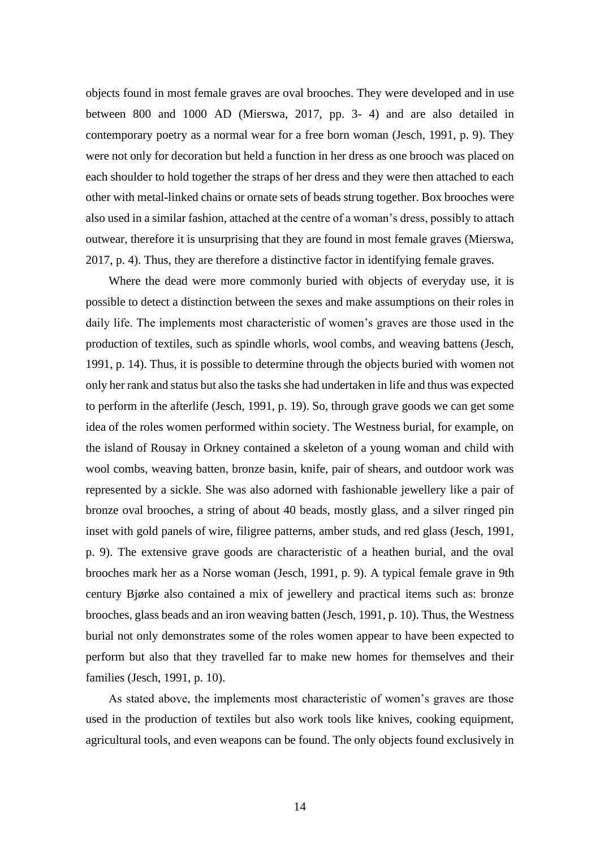objects found in most female graves are oval brooches. They were developed and in use between 800 and 1000 AD (Mierswa, 2017, pp. 3- 4) and are also detailed in contemporary poetry as a normal wear for a free born woman (Jesch, 1991, p. 9). They were not only for decoration but held a function in her dress as one brooch was placed on each shoulder to hold together the straps of her dress and they were then attached to each other with metal-linked chains or ornate sets of beads strung together. Box brooches were also used in a similar fashion, attached at the centre of a woman's dress, possibly to attach outwear, therefore it is unsurprising that they are found in most female graves (Mierswa, 2017, p. 4). Thus, they are therefore a distinctive factor in identifying female graves.

Where the dead were more commonly buried with objects of everyday use, it is possible to detect a distinction between the sexes and make assumptions on their roles in daily life. The implements most characteristic of women's graves are those used in the production of textiles, such as spindle whorls, wool combs, and weaving battens (Jesch, 1991, p. 14). Thus, it is possible to determine through the objects buried with women not only her rank and status but also the tasks she had undertaken in life and thus was expected to perform in the afterlife (Jesch, 1991, p. 19). So, through grave goods we can get some idea of the roles women performed within society. The Westness burial, for example, on the island of Rousay in Orkney contained a skeleton of a young woman and child with wool combs, weaving batten, bronze basin, knife, pair of shears, and outdoor work was represented by a sickle. She was also adorned with fashionable jewellery like a pair of bronze oval brooches, a string of about 40 beads, mostly glass, and a silver ringed pin inset with gold panels of wire, filigree patterns, amber studs, and red glass (Jesch, 1991, p. 9). The extensive grave goods are characteristic of a heathen burial, and the oval brooches mark her as a Norse woman (Jesch, 1991, p. 9). A typical female grave in 9th century Bjørke also contained a mix of jewellery and practical items such as: bronze brooches, glass beads and an iron weaving batten (Jesch, 1991, p. 10). Thus, the Westness burial not only demonstrates some of the roles women appear to have been expected to perform but also that they travelled far to make new homes for themselves and their families (Jesch, 1991, p. 10).

As stated above, the implements most characteristic of women's graves are those used in the production of textiles but also work tools like knives, cooking equipment, agricultural tools, and even weapons can be found. The only objects found exclusively in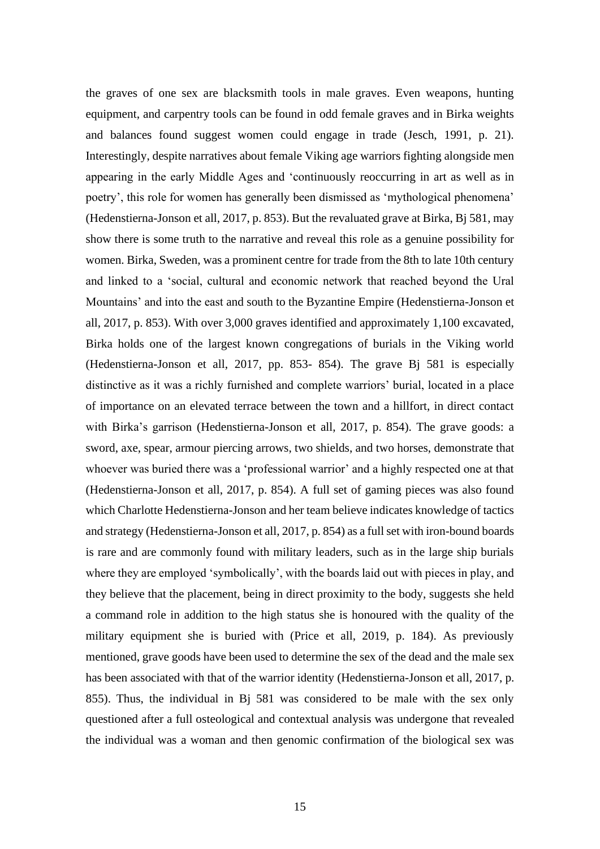the graves of one sex are blacksmith tools in male graves. Even weapons, hunting equipment, and carpentry tools can be found in odd female graves and in Birka weights and balances found suggest women could engage in trade (Jesch, 1991, p. 21). Interestingly, despite narratives about female Viking age warriors fighting alongside men appearing in the early Middle Ages and 'continuously reoccurring in art as well as in poetry', this role for women has generally been dismissed as 'mythological phenomena' (Hedenstierna-Jonson et all, 2017, p. 853). But the revaluated grave at Birka, Bj 581, may show there is some truth to the narrative and reveal this role as a genuine possibility for women. Birka, Sweden, was a prominent centre for trade from the 8th to late 10th century and linked to a 'social, cultural and economic network that reached beyond the Ural Mountains' and into the east and south to the Byzantine Empire (Hedenstierna-Jonson et all, 2017, p. 853). With over 3,000 graves identified and approximately 1,100 excavated, Birka holds one of the largest known congregations of burials in the Viking world (Hedenstierna-Jonson et all, 2017, pp. 853- 854). The grave Bj 581 is especially distinctive as it was a richly furnished and complete warriors' burial, located in a place of importance on an elevated terrace between the town and a hillfort, in direct contact with Birka's garrison (Hedenstierna-Jonson et all, 2017, p. 854). The grave goods: a sword, axe, spear, armour piercing arrows, two shields, and two horses, demonstrate that whoever was buried there was a 'professional warrior' and a highly respected one at that (Hedenstierna-Jonson et all, 2017, p. 854). A full set of gaming pieces was also found which Charlotte Hedenstierna-Jonson and her team believe indicates knowledge of tactics and strategy (Hedenstierna-Jonson et all, 2017, p. 854) as a full set with iron-bound boards is rare and are commonly found with military leaders, such as in the large ship burials where they are employed 'symbolically', with the boards laid out with pieces in play, and they believe that the placement, being in direct proximity to the body, suggests she held a command role in addition to the high status she is honoured with the quality of the military equipment she is buried with (Price et all, 2019, p. 184). As previously mentioned, grave goods have been used to determine the sex of the dead and the male sex has been associated with that of the warrior identity (Hedenstierna-Jonson et all, 2017, p. 855). Thus, the individual in Bj 581 was considered to be male with the sex only questioned after a full osteological and contextual analysis was undergone that revealed the individual was a woman and then genomic confirmation of the biological sex was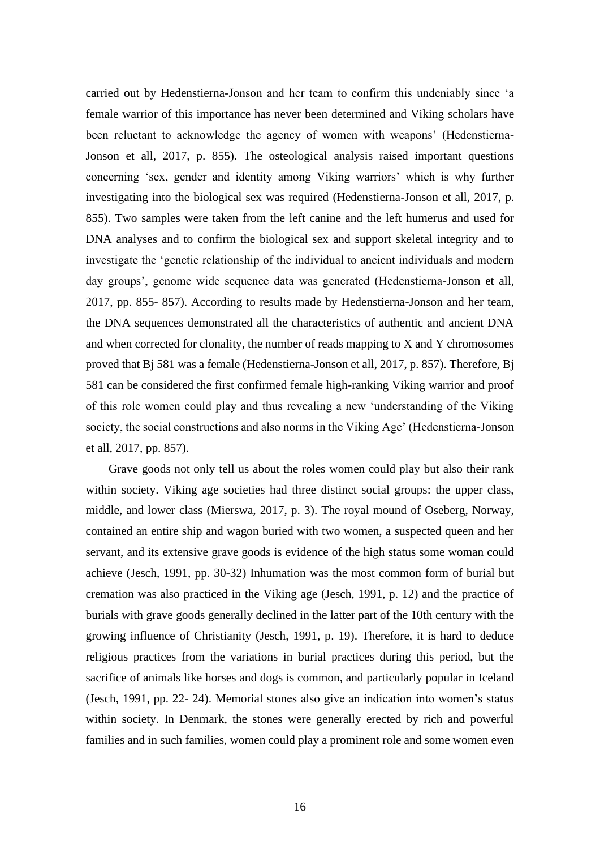carried out by Hedenstierna-Jonson and her team to confirm this undeniably since 'a female warrior of this importance has never been determined and Viking scholars have been reluctant to acknowledge the agency of women with weapons' (Hedenstierna-Jonson et all, 2017, p. 855). The osteological analysis raised important questions concerning 'sex, gender and identity among Viking warriors' which is why further investigating into the biological sex was required (Hedenstierna-Jonson et all, 2017, p. 855). Two samples were taken from the left canine and the left humerus and used for DNA analyses and to confirm the biological sex and support skeletal integrity and to investigate the 'genetic relationship of the individual to ancient individuals and modern day groups', genome wide sequence data was generated (Hedenstierna-Jonson et all, 2017, pp. 855- 857). According to results made by Hedenstierna-Jonson and her team, the DNA sequences demonstrated all the characteristics of authentic and ancient DNA and when corrected for clonality, the number of reads mapping to X and Y chromosomes proved that Bj 581 was a female (Hedenstierna-Jonson et all, 2017, p. 857). Therefore, Bj 581 can be considered the first confirmed female high-ranking Viking warrior and proof of this role women could play and thus revealing a new 'understanding of the Viking society, the social constructions and also norms in the Viking Age' (Hedenstierna-Jonson et all, 2017, pp. 857).

Grave goods not only tell us about the roles women could play but also their rank within society. Viking age societies had three distinct social groups: the upper class, middle, and lower class (Mierswa, 2017, p. 3). The royal mound of Oseberg, Norway, contained an entire ship and wagon buried with two women, a suspected queen and her servant, and its extensive grave goods is evidence of the high status some woman could achieve (Jesch, 1991, pp. 30-32) Inhumation was the most common form of burial but cremation was also practiced in the Viking age (Jesch, 1991, p. 12) and the practice of burials with grave goods generally declined in the latter part of the 10th century with the growing influence of Christianity (Jesch, 1991, p. 19). Therefore, it is hard to deduce religious practices from the variations in burial practices during this period, but the sacrifice of animals like horses and dogs is common, and particularly popular in Iceland (Jesch, 1991, pp. 22- 24). Memorial stones also give an indication into women's status within society. In Denmark, the stones were generally erected by rich and powerful families and in such families, women could play a prominent role and some women even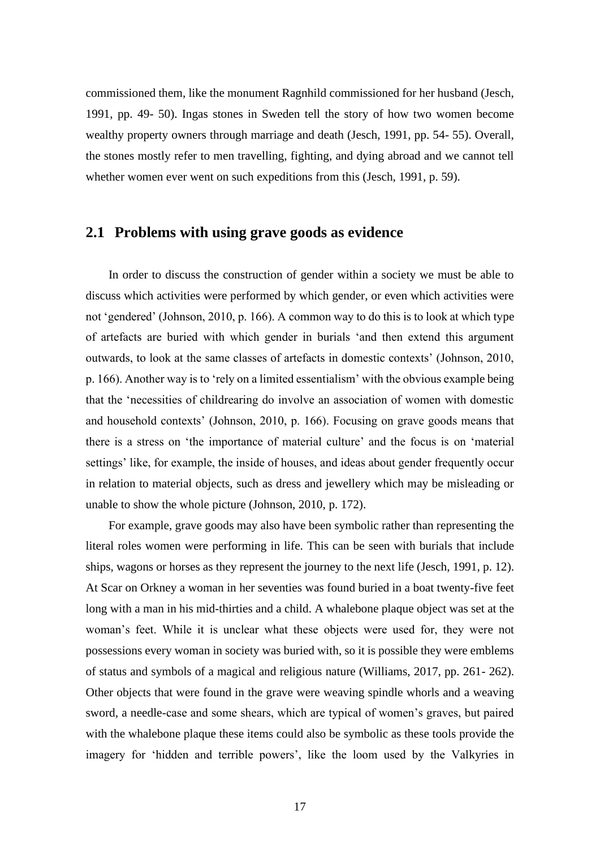commissioned them, like the monument Ragnhild commissioned for her husband (Jesch, 1991, pp. 49- 50). Ingas stones in Sweden tell the story of how two women become wealthy property owners through marriage and death (Jesch, 1991, pp. 54- 55). Overall, the stones mostly refer to men travelling, fighting, and dying abroad and we cannot tell whether women ever went on such expeditions from this (Jesch, 1991, p. 59).

#### **2.1 Problems with using grave goods as evidence**

In order to discuss the construction of gender within a society we must be able to discuss which activities were performed by which gender, or even which activities were not 'gendered' (Johnson, 2010, p. 166). A common way to do this is to look at which type of artefacts are buried with which gender in burials 'and then extend this argument outwards, to look at the same classes of artefacts in domestic contexts' (Johnson, 2010, p. 166). Another way is to 'rely on a limited essentialism' with the obvious example being that the 'necessities of childrearing do involve an association of women with domestic and household contexts' (Johnson, 2010, p. 166). Focusing on grave goods means that there is a stress on 'the importance of material culture' and the focus is on 'material settings' like, for example, the inside of houses, and ideas about gender frequently occur in relation to material objects, such as dress and jewellery which may be misleading or unable to show the whole picture (Johnson, 2010, p. 172).

For example, grave goods may also have been symbolic rather than representing the literal roles women were performing in life. This can be seen with burials that include ships, wagons or horses as they represent the journey to the next life (Jesch, 1991, p. 12). At Scar on Orkney a woman in her seventies was found buried in a boat twenty-five feet long with a man in his mid-thirties and a child. A whalebone plaque object was set at the woman's feet. While it is unclear what these objects were used for, they were not possessions every woman in society was buried with, so it is possible they were emblems of status and symbols of a magical and religious nature (Williams, 2017, pp. 261- 262). Other objects that were found in the grave were weaving spindle whorls and a weaving sword, a needle-case and some shears, which are typical of women's graves, but paired with the whalebone plaque these items could also be symbolic as these tools provide the imagery for 'hidden and terrible powers', like the loom used by the Valkyries in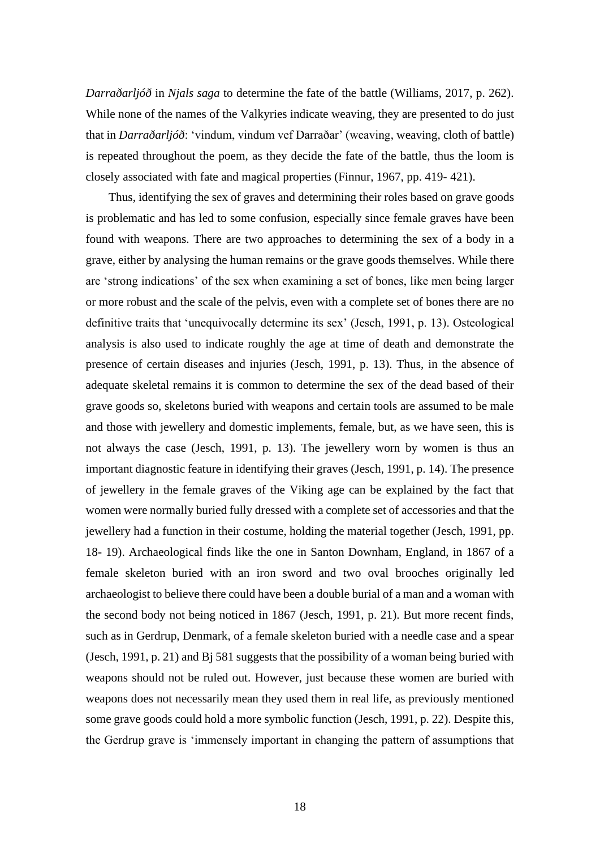*Darraðarljóð* in *Njals saga* to determine the fate of the battle (Williams, 2017, p. 262). While none of the names of the Valkyries indicate weaving, they are presented to do just that in *Darraðarljóð*: 'vindum, vindum vef Darraðar' (weaving, weaving, cloth of battle) is repeated throughout the poem, as they decide the fate of the battle, thus the loom is closely associated with fate and magical properties (Finnur, 1967, pp. 419- 421).

Thus, identifying the sex of graves and determining their roles based on grave goods is problematic and has led to some confusion, especially since female graves have been found with weapons. There are two approaches to determining the sex of a body in a grave, either by analysing the human remains or the grave goods themselves. While there are 'strong indications' of the sex when examining a set of bones, like men being larger or more robust and the scale of the pelvis, even with a complete set of bones there are no definitive traits that 'unequivocally determine its sex' (Jesch, 1991, p. 13). Osteological analysis is also used to indicate roughly the age at time of death and demonstrate the presence of certain diseases and injuries (Jesch, 1991, p. 13). Thus, in the absence of adequate skeletal remains it is common to determine the sex of the dead based of their grave goods so, skeletons buried with weapons and certain tools are assumed to be male and those with jewellery and domestic implements, female, but, as we have seen, this is not always the case (Jesch, 1991, p. 13). The jewellery worn by women is thus an important diagnostic feature in identifying their graves (Jesch, 1991, p. 14). The presence of jewellery in the female graves of the Viking age can be explained by the fact that women were normally buried fully dressed with a complete set of accessories and that the jewellery had a function in their costume, holding the material together (Jesch, 1991, pp. 18- 19). Archaeological finds like the one in Santon Downham, England, in 1867 of a female skeleton buried with an iron sword and two oval brooches originally led archaeologist to believe there could have been a double burial of a man and a woman with the second body not being noticed in 1867 (Jesch, 1991, p. 21). But more recent finds, such as in Gerdrup, Denmark, of a female skeleton buried with a needle case and a spear (Jesch, 1991, p. 21) and Bj 581 suggests that the possibility of a woman being buried with weapons should not be ruled out. However, just because these women are buried with weapons does not necessarily mean they used them in real life, as previously mentioned some grave goods could hold a more symbolic function (Jesch, 1991, p. 22). Despite this, the Gerdrup grave is 'immensely important in changing the pattern of assumptions that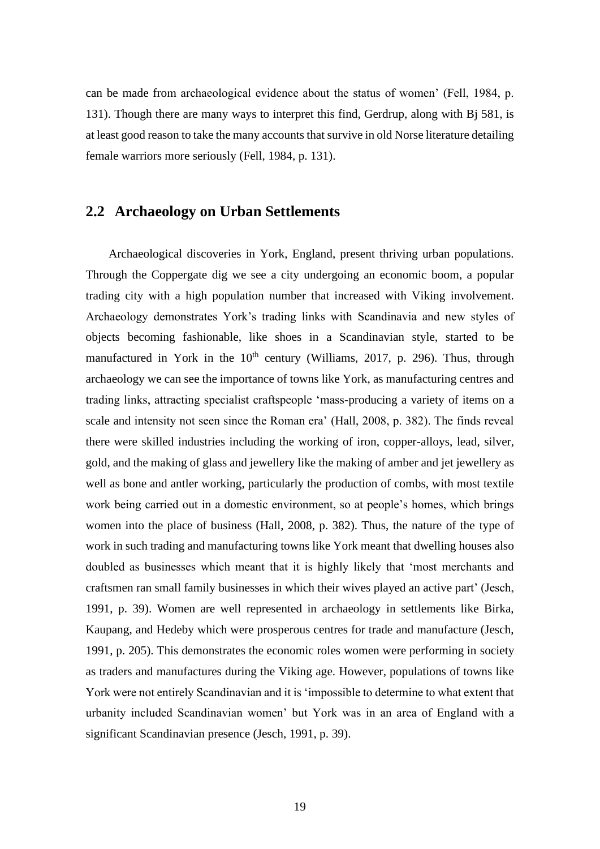can be made from archaeological evidence about the status of women' (Fell, 1984, p. 131). Though there are many ways to interpret this find, Gerdrup, along with Bj 581, is at least good reason to take the many accounts that survive in old Norse literature detailing female warriors more seriously (Fell, 1984, p. 131).

#### **2.2 Archaeology on Urban Settlements**

Archaeological discoveries in York, England, present thriving urban populations. Through the Coppergate dig we see a city undergoing an economic boom, a popular trading city with a high population number that increased with Viking involvement. Archaeology demonstrates York's trading links with Scandinavia and new styles of objects becoming fashionable, like shoes in a Scandinavian style, started to be manufactured in York in the  $10<sup>th</sup>$  century (Williams, 2017, p. 296). Thus, through archaeology we can see the importance of towns like York, as manufacturing centres and trading links, attracting specialist craftspeople 'mass-producing a variety of items on a scale and intensity not seen since the Roman era' (Hall, 2008, p. 382). The finds reveal there were skilled industries including the working of iron, copper-alloys, lead, silver, gold, and the making of glass and jewellery like the making of amber and jet jewellery as well as bone and antler working, particularly the production of combs, with most textile work being carried out in a domestic environment, so at people's homes, which brings women into the place of business (Hall, 2008, p. 382). Thus, the nature of the type of work in such trading and manufacturing towns like York meant that dwelling houses also doubled as businesses which meant that it is highly likely that 'most merchants and craftsmen ran small family businesses in which their wives played an active part' (Jesch, 1991, p. 39). Women are well represented in archaeology in settlements like Birka, Kaupang, and Hedeby which were prosperous centres for trade and manufacture (Jesch, 1991, p. 205). This demonstrates the economic roles women were performing in society as traders and manufactures during the Viking age. However, populations of towns like York were not entirely Scandinavian and it is 'impossible to determine to what extent that urbanity included Scandinavian women' but York was in an area of England with a significant Scandinavian presence (Jesch, 1991, p. 39).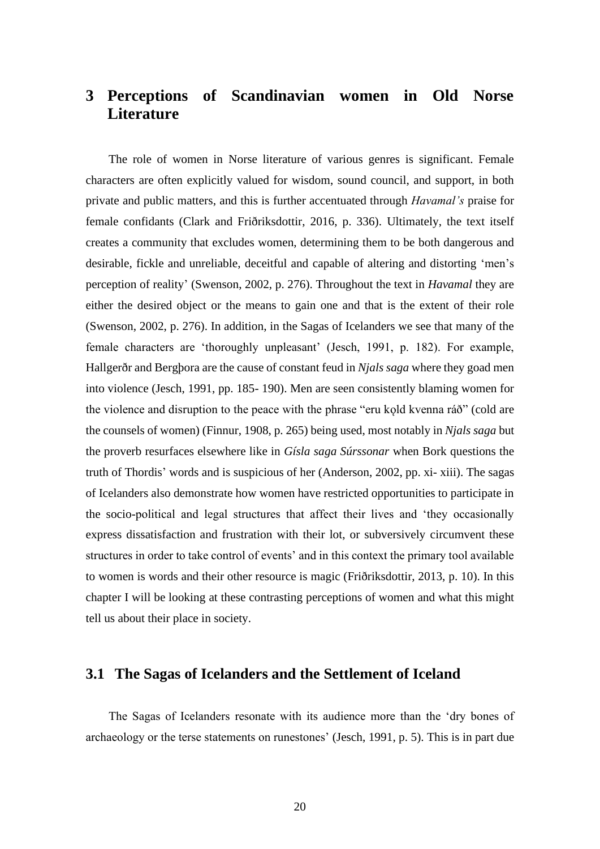## **3 Perceptions of Scandinavian women in Old Norse Literature**

The role of women in Norse literature of various genres is significant. Female characters are often explicitly valued for wisdom, sound council, and support, in both private and public matters, and this is further accentuated through *Havamal's* praise for female confidants (Clark and Friðriksdottir, 2016, p. 336). Ultimately, the text itself creates a community that excludes women, determining them to be both dangerous and desirable, fickle and unreliable, deceitful and capable of altering and distorting 'men's perception of reality' (Swenson, 2002, p. 276). Throughout the text in *Havamal* they are either the desired object or the means to gain one and that is the extent of their role (Swenson, 2002, p. 276). In addition, in the Sagas of Icelanders we see that many of the female characters are 'thoroughly unpleasant' (Jesch, 1991, p. 182). For example, Hallgerðr and Bergþora are the cause of constant feud in *Njals saga* where they goad men into violence (Jesch, 1991, pp. 185- 190). Men are seen consistently blaming women for the violence and disruption to the peace with the phrase "eru kold kvenna ráð" (cold are the counsels of women) (Finnur, 1908, p. 265) being used, most notably in *Njals saga* but the proverb resurfaces elsewhere like in *Gísla saga Súrssonar* when Bork questions the truth of Thordis' words and is suspicious of her (Anderson, 2002, pp. xi- xiii). The sagas of Icelanders also demonstrate how women have restricted opportunities to participate in the socio-political and legal structures that affect their lives and 'they occasionally express dissatisfaction and frustration with their lot, or subversively circumvent these structures in order to take control of events' and in this context the primary tool available to women is words and their other resource is magic (Friðriksdottir, 2013, p. 10). In this chapter I will be looking at these contrasting perceptions of women and what this might tell us about their place in society.

#### **3.1 The Sagas of Icelanders and the Settlement of Iceland**

The Sagas of Icelanders resonate with its audience more than the 'dry bones of archaeology or the terse statements on runestones' (Jesch, 1991, p. 5). This is in part due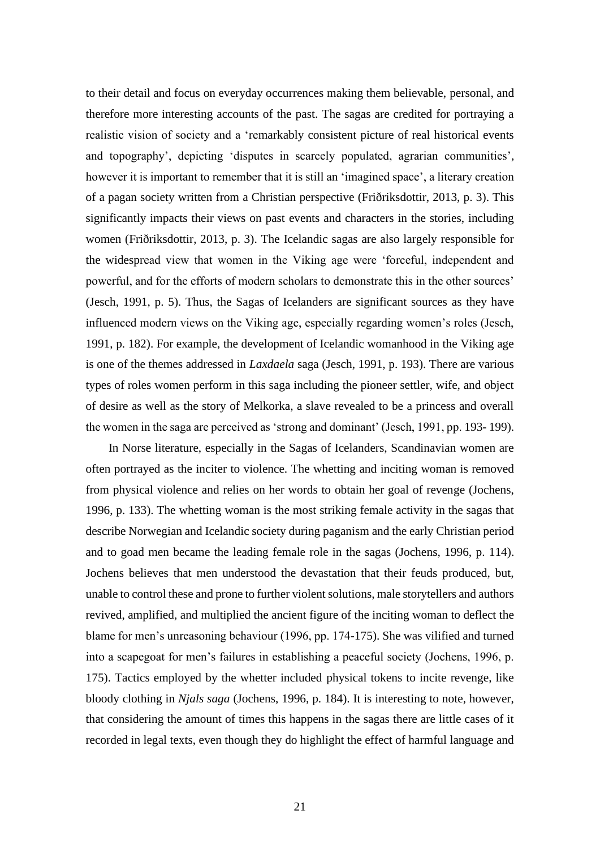to their detail and focus on everyday occurrences making them believable, personal, and therefore more interesting accounts of the past. The sagas are credited for portraying a realistic vision of society and a 'remarkably consistent picture of real historical events and topography', depicting 'disputes in scarcely populated, agrarian communities', however it is important to remember that it is still an 'imagined space', a literary creation of a pagan society written from a Christian perspective (Friðriksdottir, 2013, p. 3). This significantly impacts their views on past events and characters in the stories, including women (Friðriksdottir, 2013, p. 3). The Icelandic sagas are also largely responsible for the widespread view that women in the Viking age were 'forceful, independent and powerful, and for the efforts of modern scholars to demonstrate this in the other sources' (Jesch, 1991, p. 5). Thus, the Sagas of Icelanders are significant sources as they have influenced modern views on the Viking age, especially regarding women's roles (Jesch, 1991, p. 182). For example, the development of Icelandic womanhood in the Viking age is one of the themes addressed in *Laxdaela* saga (Jesch, 1991, p. 193). There are various types of roles women perform in this saga including the pioneer settler, wife, and object of desire as well as the story of Melkorka, a slave revealed to be a princess and overall the women in the saga are perceived as 'strong and dominant' (Jesch, 1991, pp. 193- 199).

In Norse literature, especially in the Sagas of Icelanders, Scandinavian women are often portrayed as the inciter to violence. The whetting and inciting woman is removed from physical violence and relies on her words to obtain her goal of revenge (Jochens, 1996, p. 133). The whetting woman is the most striking female activity in the sagas that describe Norwegian and Icelandic society during paganism and the early Christian period and to goad men became the leading female role in the sagas (Jochens, 1996, p. 114). Jochens believes that men understood the devastation that their feuds produced, but, unable to control these and prone to further violent solutions, male storytellers and authors revived, amplified, and multiplied the ancient figure of the inciting woman to deflect the blame for men's unreasoning behaviour (1996, pp. 174-175). She was vilified and turned into a scapegoat for men's failures in establishing a peaceful society (Jochens, 1996, p. 175). Tactics employed by the whetter included physical tokens to incite revenge, like bloody clothing in *Njals saga* (Jochens, 1996, p. 184). It is interesting to note, however, that considering the amount of times this happens in the sagas there are little cases of it recorded in legal texts, even though they do highlight the effect of harmful language and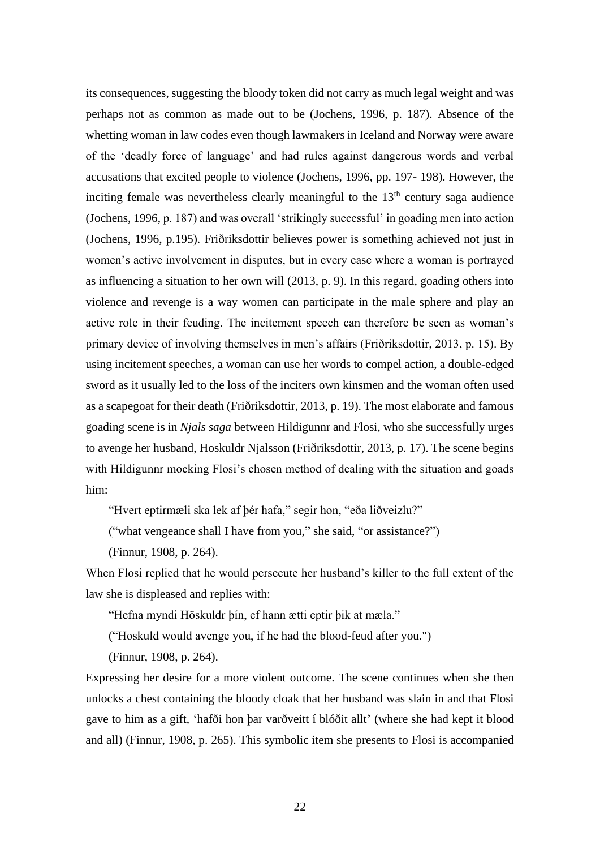its consequences, suggesting the bloody token did not carry as much legal weight and was perhaps not as common as made out to be (Jochens, 1996, p. 187). Absence of the whetting woman in law codes even though lawmakers in Iceland and Norway were aware of the 'deadly force of language' and had rules against dangerous words and verbal accusations that excited people to violence (Jochens, 1996, pp. 197- 198). However, the inciting female was nevertheless clearly meaningful to the  $13<sup>th</sup>$  century saga audience (Jochens, 1996, p. 187) and was overall 'strikingly successful' in goading men into action (Jochens, 1996, p.195). Friðriksdottir believes power is something achieved not just in women's active involvement in disputes, but in every case where a woman is portrayed as influencing a situation to her own will (2013, p. 9). In this regard, goading others into violence and revenge is a way women can participate in the male sphere and play an active role in their feuding. The incitement speech can therefore be seen as woman's primary device of involving themselves in men's affairs (Friðriksdottir, 2013, p. 15). By using incitement speeches, a woman can use her words to compel action, a double-edged sword as it usually led to the loss of the inciters own kinsmen and the woman often used as a scapegoat for their death (Friðriksdottir, 2013, p. 19). The most elaborate and famous goading scene is in *Njals saga* between Hildigunnr and Flosi, who she successfully urges to avenge her husband, Hoskuldr Njalsson (Friðriksdottir, 2013, p. 17). The scene begins with Hildigunnr mocking Flosi's chosen method of dealing with the situation and goads him:

"Hvert eptirmæli ska lek af þér hafa," segir hon, "eða liðveizlu?"

("what vengeance shall I have from you," she said, "or assistance?")

(Finnur, 1908, p. 264).

When Flosi replied that he would persecute her husband's killer to the full extent of the law she is displeased and replies with:

"Hefna myndi Höskuldr þín, ef hann ætti eptir þik at mæla."

("Hoskuld would avenge you, if he had the blood-feud after you.")

(Finnur, 1908, p. 264).

Expressing her desire for a more violent outcome. The scene continues when she then unlocks a chest containing the bloody cloak that her husband was slain in and that Flosi gave to him as a gift, 'hafði hon þar varðveitt í blóðit allt' (where she had kept it blood and all) (Finnur, 1908, p. 265). This symbolic item she presents to Flosi is accompanied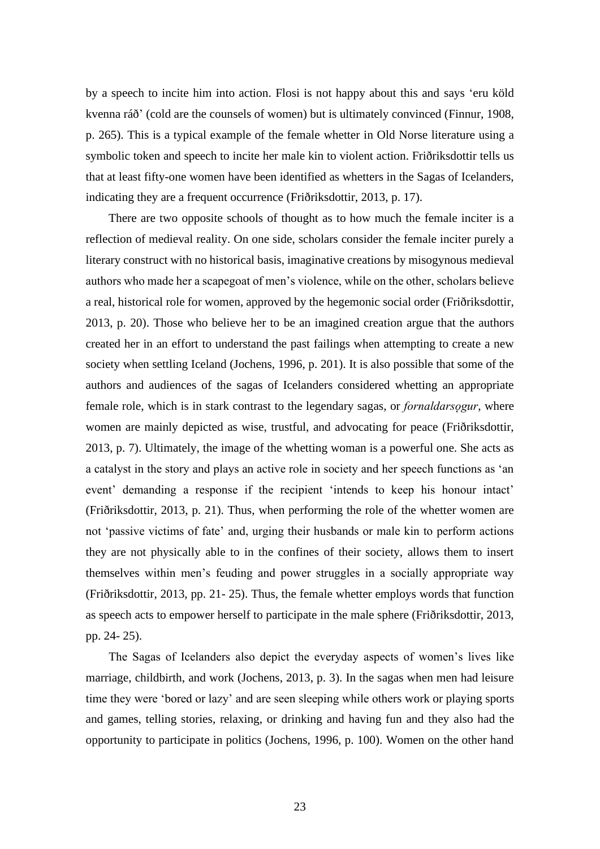by a speech to incite him into action. Flosi is not happy about this and says 'eru köld kvenna ráð' (cold are the counsels of women) but is ultimately convinced (Finnur, 1908, p. 265). This is a typical example of the female whetter in Old Norse literature using a symbolic token and speech to incite her male kin to violent action. Friðriksdottir tells us that at least fifty-one women have been identified as whetters in the Sagas of Icelanders, indicating they are a frequent occurrence (Friðriksdottir, 2013, p. 17).

There are two opposite schools of thought as to how much the female inciter is a reflection of medieval reality. On one side, scholars consider the female inciter purely a literary construct with no historical basis, imaginative creations by misogynous medieval authors who made her a scapegoat of men's violence, while on the other, scholars believe a real, historical role for women, approved by the hegemonic social order (Friðriksdottir, 2013, p. 20). Those who believe her to be an imagined creation argue that the authors created her in an effort to understand the past failings when attempting to create a new society when settling Iceland (Jochens, 1996, p. 201). It is also possible that some of the authors and audiences of the sagas of Icelanders considered whetting an appropriate female role, which is in stark contrast to the legendary sagas, or *fornaldarsogur*, where women are mainly depicted as wise, trustful, and advocating for peace (Friðriksdottir, 2013, p. 7). Ultimately, the image of the whetting woman is a powerful one. She acts as a catalyst in the story and plays an active role in society and her speech functions as 'an event' demanding a response if the recipient 'intends to keep his honour intact' (Friðriksdottir, 2013, p. 21). Thus, when performing the role of the whetter women are not 'passive victims of fate' and, urging their husbands or male kin to perform actions they are not physically able to in the confines of their society, allows them to insert themselves within men's feuding and power struggles in a socially appropriate way (Friðriksdottir, 2013, pp. 21- 25). Thus, the female whetter employs words that function as speech acts to empower herself to participate in the male sphere (Friðriksdottir, 2013, pp. 24- 25).

The Sagas of Icelanders also depict the everyday aspects of women's lives like marriage, childbirth, and work (Jochens, 2013, p. 3). In the sagas when men had leisure time they were 'bored or lazy' and are seen sleeping while others work or playing sports and games, telling stories, relaxing, or drinking and having fun and they also had the opportunity to participate in politics (Jochens, 1996, p. 100). Women on the other hand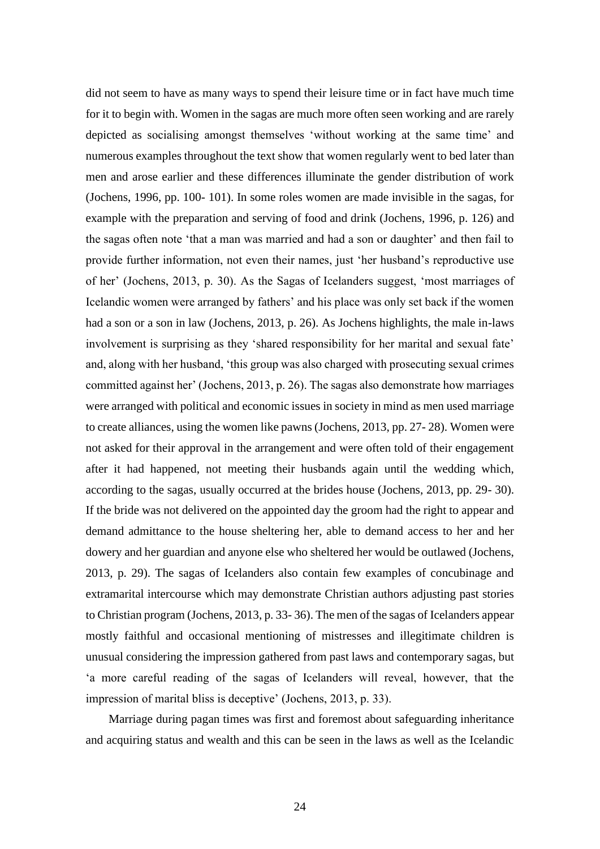did not seem to have as many ways to spend their leisure time or in fact have much time for it to begin with. Women in the sagas are much more often seen working and are rarely depicted as socialising amongst themselves 'without working at the same time' and numerous examples throughout the text show that women regularly went to bed later than men and arose earlier and these differences illuminate the gender distribution of work (Jochens, 1996, pp. 100- 101). In some roles women are made invisible in the sagas, for example with the preparation and serving of food and drink (Jochens, 1996, p. 126) and the sagas often note 'that a man was married and had a son or daughter' and then fail to provide further information, not even their names, just 'her husband's reproductive use of her' (Jochens, 2013, p. 30). As the Sagas of Icelanders suggest, 'most marriages of Icelandic women were arranged by fathers' and his place was only set back if the women had a son or a son in law (Jochens, 2013, p. 26). As Jochens highlights, the male in-laws involvement is surprising as they 'shared responsibility for her marital and sexual fate' and, along with her husband, 'this group was also charged with prosecuting sexual crimes committed against her' (Jochens, 2013, p. 26). The sagas also demonstrate how marriages were arranged with political and economic issues in society in mind as men used marriage to create alliances, using the women like pawns (Jochens, 2013, pp. 27- 28). Women were not asked for their approval in the arrangement and were often told of their engagement after it had happened, not meeting their husbands again until the wedding which, according to the sagas, usually occurred at the brides house (Jochens, 2013, pp. 29- 30). If the bride was not delivered on the appointed day the groom had the right to appear and demand admittance to the house sheltering her, able to demand access to her and her dowery and her guardian and anyone else who sheltered her would be outlawed (Jochens, 2013, p. 29). The sagas of Icelanders also contain few examples of concubinage and extramarital intercourse which may demonstrate Christian authors adjusting past stories to Christian program (Jochens, 2013, p. 33- 36). The men of the sagas of Icelanders appear mostly faithful and occasional mentioning of mistresses and illegitimate children is unusual considering the impression gathered from past laws and contemporary sagas, but 'a more careful reading of the sagas of Icelanders will reveal, however, that the impression of marital bliss is deceptive' (Jochens, 2013, p. 33).

Marriage during pagan times was first and foremost about safeguarding inheritance and acquiring status and wealth and this can be seen in the laws as well as the Icelandic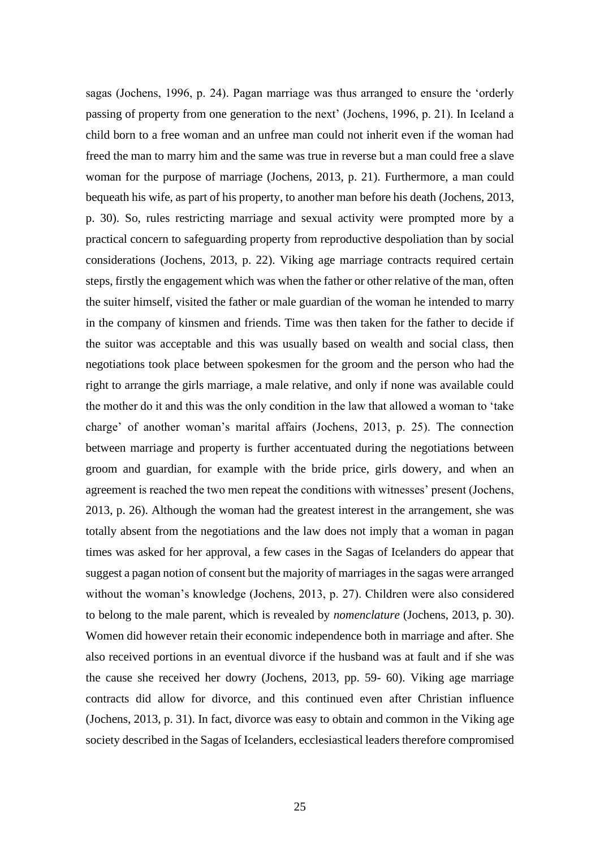sagas (Jochens, 1996, p. 24). Pagan marriage was thus arranged to ensure the 'orderly passing of property from one generation to the next' (Jochens, 1996, p. 21). In Iceland a child born to a free woman and an unfree man could not inherit even if the woman had freed the man to marry him and the same was true in reverse but a man could free a slave woman for the purpose of marriage (Jochens, 2013, p. 21). Furthermore, a man could bequeath his wife, as part of his property, to another man before his death (Jochens, 2013, p. 30). So, rules restricting marriage and sexual activity were prompted more by a practical concern to safeguarding property from reproductive despoliation than by social considerations (Jochens, 2013, p. 22). Viking age marriage contracts required certain steps, firstly the engagement which was when the father or other relative of the man, often the suiter himself, visited the father or male guardian of the woman he intended to marry in the company of kinsmen and friends. Time was then taken for the father to decide if the suitor was acceptable and this was usually based on wealth and social class, then negotiations took place between spokesmen for the groom and the person who had the right to arrange the girls marriage, a male relative, and only if none was available could the mother do it and this was the only condition in the law that allowed a woman to 'take charge' of another woman's marital affairs (Jochens, 2013, p. 25). The connection between marriage and property is further accentuated during the negotiations between groom and guardian, for example with the bride price, girls dowery, and when an agreement is reached the two men repeat the conditions with witnesses' present (Jochens, 2013, p. 26). Although the woman had the greatest interest in the arrangement, she was totally absent from the negotiations and the law does not imply that a woman in pagan times was asked for her approval, a few cases in the Sagas of Icelanders do appear that suggest a pagan notion of consent but the majority of marriages in the sagas were arranged without the woman's knowledge (Jochens, 2013, p. 27). Children were also considered to belong to the male parent, which is revealed by *nomenclature* (Jochens, 2013, p. 30). Women did however retain their economic independence both in marriage and after. She also received portions in an eventual divorce if the husband was at fault and if she was the cause she received her dowry (Jochens, 2013, pp. 59- 60). Viking age marriage contracts did allow for divorce, and this continued even after Christian influence (Jochens, 2013, p. 31). In fact, divorce was easy to obtain and common in the Viking age society described in the Sagas of Icelanders, ecclesiastical leaders therefore compromised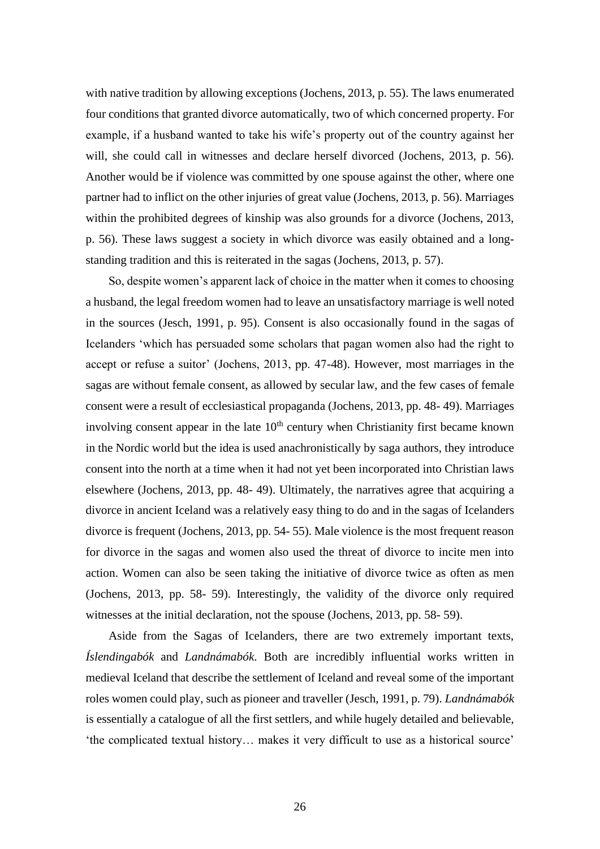with native tradition by allowing exceptions (Jochens, 2013, p. 55). The laws enumerated four conditions that granted divorce automatically, two of which concerned property. For example, if a husband wanted to take his wife's property out of the country against her will, she could call in witnesses and declare herself divorced (Jochens, 2013, p. 56). Another would be if violence was committed by one spouse against the other, where one partner had to inflict on the other injuries of great value (Jochens, 2013, p. 56). Marriages within the prohibited degrees of kinship was also grounds for a divorce (Jochens, 2013, p. 56). These laws suggest a society in which divorce was easily obtained and a longstanding tradition and this is reiterated in the sagas (Jochens, 2013, p. 57).

So, despite women's apparent lack of choice in the matter when it comes to choosing a husband, the legal freedom women had to leave an unsatisfactory marriage is well noted in the sources (Jesch, 1991, p. 95). Consent is also occasionally found in the sagas of Icelanders 'which has persuaded some scholars that pagan women also had the right to accept or refuse a suitor' (Jochens, 2013, pp. 47-48). However, most marriages in the sagas are without female consent, as allowed by secular law, and the few cases of female consent were a result of ecclesiastical propaganda (Jochens, 2013, pp. 48- 49). Marriages involving consent appear in the late  $10<sup>th</sup>$  century when Christianity first became known in the Nordic world but the idea is used anachronistically by saga authors, they introduce consent into the north at a time when it had not yet been incorporated into Christian laws elsewhere (Jochens, 2013, pp. 48- 49). Ultimately, the narratives agree that acquiring a divorce in ancient Iceland was a relatively easy thing to do and in the sagas of Icelanders divorce is frequent (Jochens, 2013, pp. 54- 55). Male violence is the most frequent reason for divorce in the sagas and women also used the threat of divorce to incite men into action. Women can also be seen taking the initiative of divorce twice as often as men (Jochens, 2013, pp. 58- 59). Interestingly, the validity of the divorce only required witnesses at the initial declaration, not the spouse (Jochens, 2013, pp. 58- 59).

Aside from the Sagas of Icelanders, there are two extremely important texts, *Íslendingabók* and *Landnámabók*. Both are incredibly influential works written in medieval Iceland that describe the settlement of Iceland and reveal some of the important roles women could play, such as pioneer and traveller (Jesch, 1991, p. 79). *Landnámabók* is essentially a catalogue of all the first settlers, and while hugely detailed and believable, 'the complicated textual history… makes it very difficult to use as a historical source'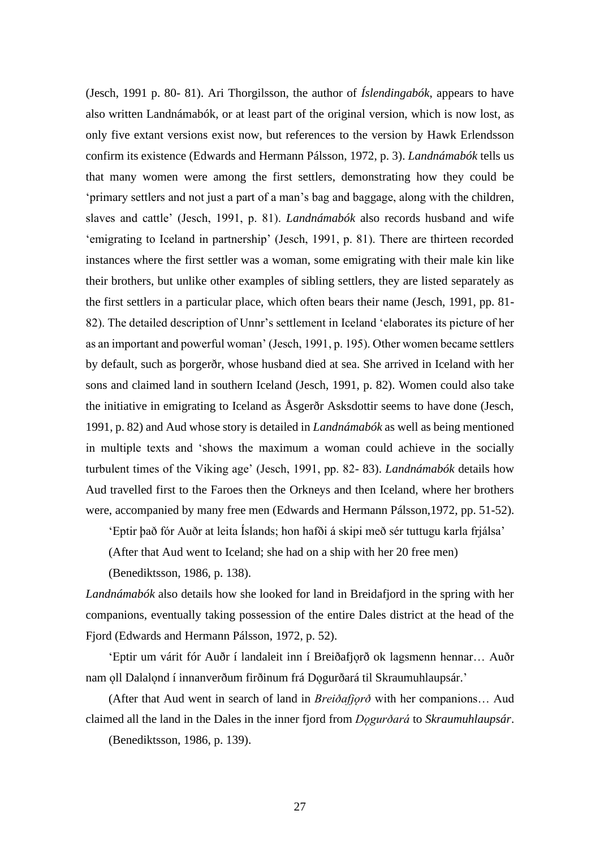(Jesch, 1991 p. 80- 81). Ari Thorgilsson, the author of *Íslendingabók*, appears to have also written Landnámabók, or at least part of the original version, which is now lost, as only five extant versions exist now, but references to the version by Hawk Erlendsson confirm its existence (Edwards and Hermann Pálsson, 1972, p. 3). *Landnámabók* tells us that many women were among the first settlers, demonstrating how they could be 'primary settlers and not just a part of a man's bag and baggage, along with the children, slaves and cattle' (Jesch, 1991, p. 81). *Landnámabók* also records husband and wife 'emigrating to Iceland in partnership' (Jesch, 1991, p. 81). There are thirteen recorded instances where the first settler was a woman, some emigrating with their male kin like their brothers, but unlike other examples of sibling settlers, they are listed separately as the first settlers in a particular place, which often bears their name (Jesch, 1991, pp. 81- 82). The detailed description of Unnr's settlement in Iceland 'elaborates its picture of her as an important and powerful woman' (Jesch, 1991, p. 195). Other women became settlers by default, such as þorgerðr, whose husband died at sea. She arrived in Iceland with her sons and claimed land in southern Iceland (Jesch, 1991, p. 82). Women could also take the initiative in emigrating to Iceland as Åsgerðr Asksdottir seems to have done (Jesch, 1991, p. 82) and Aud whose story is detailed in *Landnámabók* as well as being mentioned in multiple texts and 'shows the maximum a woman could achieve in the socially turbulent times of the Viking age' (Jesch, 1991, pp. 82- 83). *Landnámabók* details how Aud travelled first to the Faroes then the Orkneys and then Iceland, where her brothers were, accompanied by many free men (Edwards and Hermann Pálsson,1972, pp. 51-52).

'Eptir það fór Auðr at leita Íslands; hon hafði á skipi með sér tuttugu karla frjálsa'

(After that Aud went to Iceland; she had on a ship with her 20 free men)

(Benediktsson, 1986, p. 138).

*Landnámabók* also details how she looked for land in Breidafjord in the spring with her companions, eventually taking possession of the entire Dales district at the head of the Fjord (Edwards and Hermann Pálsson, 1972, p. 52).

'Eptir um várit fór Auðr í landaleit inn í Breiðafjorð ok lagsmenn hennar... Auðr nam oll Dalalond í innanverðum firðinum frá Dogurðará til Skraumuhlaupsár.'

(After that Aud went in search of land in *Breiðafjǫrð* with her companions… Aud claimed all the land in the Dales in the inner fjord from *Dǫgurðará* to *Skraumuhlaupsár*.

(Benediktsson, 1986, p. 139).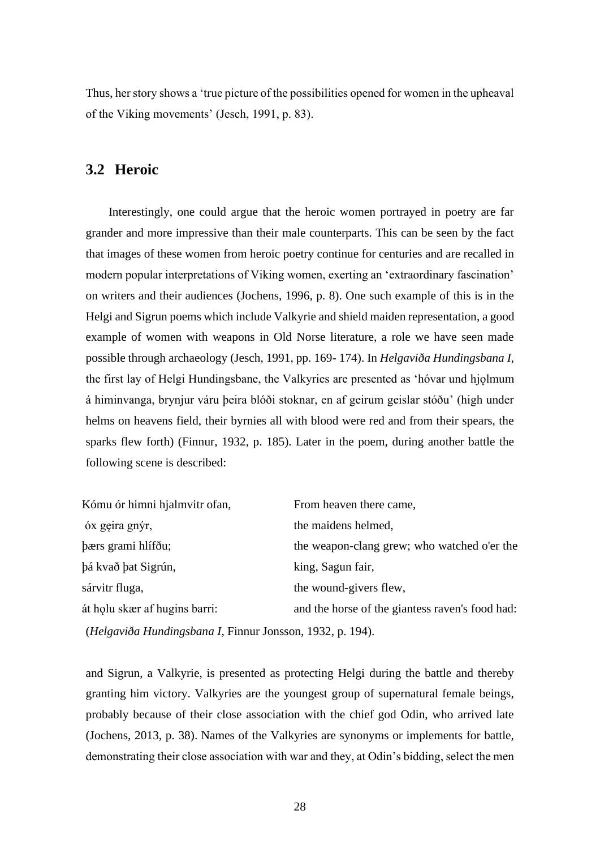Thus, her story shows a 'true picture of the possibilities opened for women in the upheaval of the Viking movements' (Jesch, 1991, p. 83).

#### **3.2 Heroic**

Interestingly, one could argue that the heroic women portrayed in poetry are far grander and more impressive than their male counterparts. This can be seen by the fact that images of these women from heroic poetry continue for centuries and are recalled in modern popular interpretations of Viking women, exerting an 'extraordinary fascination' on writers and their audiences (Jochens, 1996, p. 8). One such example of this is in the Helgi and Sigrun poems which include Valkyrie and shield maiden representation, a good example of women with weapons in Old Norse literature, a role we have seen made possible through archaeology (Jesch, 1991, pp. 169- 174). In *Helgaviða Hundingsbana I*, the first lay of Helgi Hundingsbane, the Valkyries are presented as 'hóvar und hjolmum á himinvanga, brynjur váru þeira blóði stoknar, en af geirum geislar stóðu' (high under helms on heavens field, their byrnies all with blood were red and from their spears, the sparks flew forth) (Finnur, 1932, p. 185). Later in the poem, during another battle the following scene is described:

| Kómu ór himni hjalmvitr ofan,                                    | From heaven there came,                         |  |  |
|------------------------------------------------------------------|-------------------------------------------------|--|--|
| óx geira gnýr,                                                   | the maidens helmed,                             |  |  |
| bærs grami hlífðu;                                               | the weapon-clang grew; who watched o'er the     |  |  |
| þá kvað þat Sigrún,                                              | king, Sagun fair,                               |  |  |
| sárvitr fluga,                                                   | the wound-givers flew,                          |  |  |
| át holu skær af hugins barri:                                    | and the horse of the giantess raven's food had: |  |  |
| <i>(Helgaviða Hundingsbana I, Finnur Jonsson, 1932, p. 194).</i> |                                                 |  |  |

and Sigrun, a Valkyrie, is presented as protecting Helgi during the battle and thereby granting him victory. Valkyries are the youngest group of supernatural female beings, probably because of their close association with the chief god Odin, who arrived late (Jochens, 2013, p. 38). Names of the Valkyries are synonyms or implements for battle, demonstrating their close association with war and they, at Odin's bidding, select the men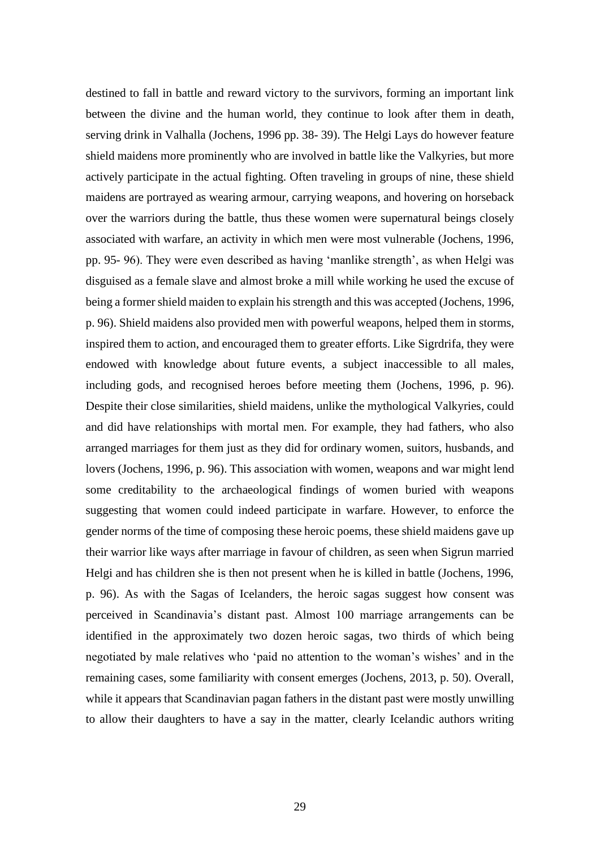destined to fall in battle and reward victory to the survivors, forming an important link between the divine and the human world, they continue to look after them in death, serving drink in Valhalla (Jochens, 1996 pp. 38- 39). The Helgi Lays do however feature shield maidens more prominently who are involved in battle like the Valkyries, but more actively participate in the actual fighting. Often traveling in groups of nine, these shield maidens are portrayed as wearing armour, carrying weapons, and hovering on horseback over the warriors during the battle, thus these women were supernatural beings closely associated with warfare, an activity in which men were most vulnerable (Jochens, 1996, pp. 95- 96). They were even described as having 'manlike strength', as when Helgi was disguised as a female slave and almost broke a mill while working he used the excuse of being a former shield maiden to explain his strength and this was accepted (Jochens, 1996, p. 96). Shield maidens also provided men with powerful weapons, helped them in storms, inspired them to action, and encouraged them to greater efforts. Like Sigrdrifa, they were endowed with knowledge about future events, a subject inaccessible to all males, including gods, and recognised heroes before meeting them (Jochens, 1996, p. 96). Despite their close similarities, shield maidens, unlike the mythological Valkyries, could and did have relationships with mortal men. For example, they had fathers, who also arranged marriages for them just as they did for ordinary women, suitors, husbands, and lovers (Jochens, 1996, p. 96). This association with women, weapons and war might lend some creditability to the archaeological findings of women buried with weapons suggesting that women could indeed participate in warfare. However, to enforce the gender norms of the time of composing these heroic poems, these shield maidens gave up their warrior like ways after marriage in favour of children, as seen when Sigrun married Helgi and has children she is then not present when he is killed in battle (Jochens, 1996, p. 96). As with the Sagas of Icelanders, the heroic sagas suggest how consent was perceived in Scandinavia's distant past. Almost 100 marriage arrangements can be identified in the approximately two dozen heroic sagas, two thirds of which being negotiated by male relatives who 'paid no attention to the woman's wishes' and in the remaining cases, some familiarity with consent emerges (Jochens, 2013, p. 50). Overall, while it appears that Scandinavian pagan fathers in the distant past were mostly unwilling to allow their daughters to have a say in the matter, clearly Icelandic authors writing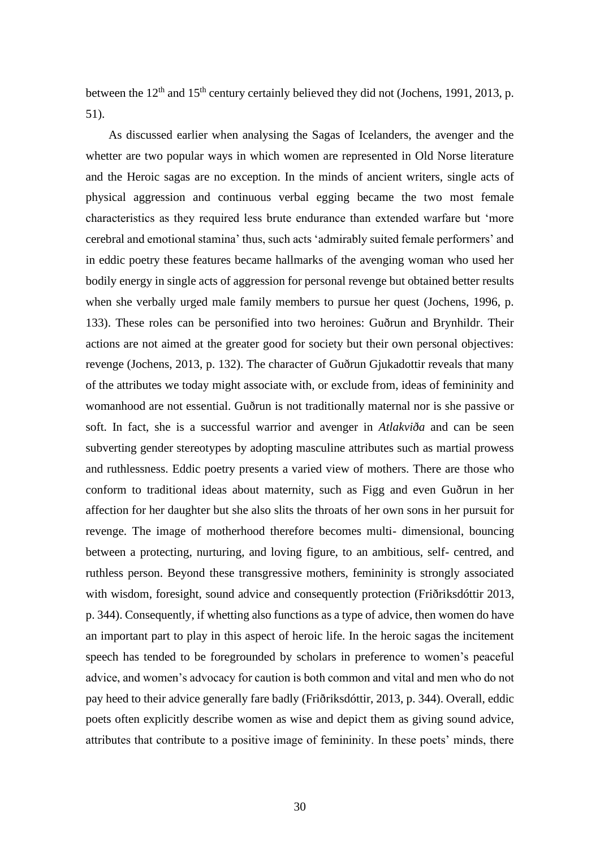between the  $12<sup>th</sup>$  and  $15<sup>th</sup>$  century certainly believed they did not (Jochens, 1991, 2013, p. 51).

As discussed earlier when analysing the Sagas of Icelanders, the avenger and the whetter are two popular ways in which women are represented in Old Norse literature and the Heroic sagas are no exception. In the minds of ancient writers, single acts of physical aggression and continuous verbal egging became the two most female characteristics as they required less brute endurance than extended warfare but 'more cerebral and emotional stamina' thus, such acts 'admirably suited female performers' and in eddic poetry these features became hallmarks of the avenging woman who used her bodily energy in single acts of aggression for personal revenge but obtained better results when she verbally urged male family members to pursue her quest (Jochens, 1996, p. 133). These roles can be personified into two heroines: Guðrun and Brynhildr. Their actions are not aimed at the greater good for society but their own personal objectives: revenge (Jochens, 2013, p. 132). The character of Guðrun Gjukadottir reveals that many of the attributes we today might associate with, or exclude from, ideas of femininity and womanhood are not essential. Guðrun is not traditionally maternal nor is she passive or soft. In fact, she is a successful warrior and avenger in *Atlakviða* and can be seen subverting gender stereotypes by adopting masculine attributes such as martial prowess and ruthlessness. Eddic poetry presents a varied view of mothers. There are those who conform to traditional ideas about maternity, such as Figg and even Guðrun in her affection for her daughter but she also slits the throats of her own sons in her pursuit for revenge. The image of motherhood therefore becomes multi- dimensional, bouncing between a protecting, nurturing, and loving figure, to an ambitious, self- centred, and ruthless person. Beyond these transgressive mothers, femininity is strongly associated with wisdom, foresight, sound advice and consequently protection (Friðriksdóttir 2013, p. 344). Consequently, if whetting also functions as a type of advice, then women do have an important part to play in this aspect of heroic life. In the heroic sagas the incitement speech has tended to be foregrounded by scholars in preference to women's peaceful advice, and women's advocacy for caution is both common and vital and men who do not pay heed to their advice generally fare badly (Friðriksdóttir, 2013, p. 344). Overall, eddic poets often explicitly describe women as wise and depict them as giving sound advice, attributes that contribute to a positive image of femininity. In these poets' minds, there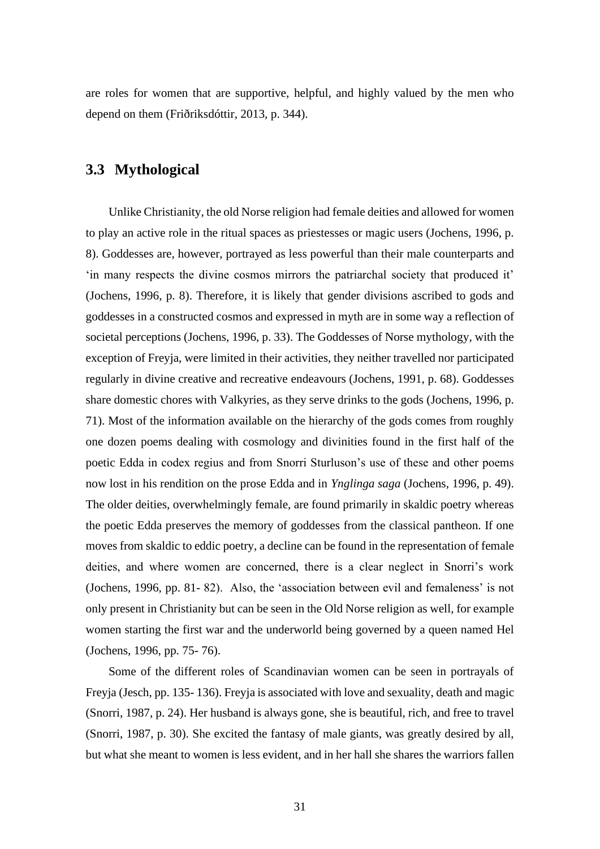are roles for women that are supportive, helpful, and highly valued by the men who depend on them (Friðriksdóttir, 2013, p. 344).

#### **3.3 Mythological**

Unlike Christianity, the old Norse religion had female deities and allowed for women to play an active role in the ritual spaces as priestesses or magic users (Jochens, 1996, p. 8). Goddesses are, however, portrayed as less powerful than their male counterparts and 'in many respects the divine cosmos mirrors the patriarchal society that produced it' (Jochens, 1996, p. 8). Therefore, it is likely that gender divisions ascribed to gods and goddesses in a constructed cosmos and expressed in myth are in some way a reflection of societal perceptions (Jochens, 1996, p. 33). The Goddesses of Norse mythology, with the exception of Freyja, were limited in their activities, they neither travelled nor participated regularly in divine creative and recreative endeavours (Jochens, 1991, p. 68). Goddesses share domestic chores with Valkyries, as they serve drinks to the gods (Jochens, 1996, p. 71). Most of the information available on the hierarchy of the gods comes from roughly one dozen poems dealing with cosmology and divinities found in the first half of the poetic Edda in codex regius and from Snorri Sturluson's use of these and other poems now lost in his rendition on the prose Edda and in *Ynglinga saga* (Jochens, 1996, p. 49). The older deities, overwhelmingly female, are found primarily in skaldic poetry whereas the poetic Edda preserves the memory of goddesses from the classical pantheon. If one moves from skaldic to eddic poetry, a decline can be found in the representation of female deities, and where women are concerned, there is a clear neglect in Snorri's work (Jochens, 1996, pp. 81- 82). Also, the 'association between evil and femaleness' is not only present in Christianity but can be seen in the Old Norse religion as well, for example women starting the first war and the underworld being governed by a queen named Hel (Jochens, 1996, pp. 75- 76).

Some of the different roles of Scandinavian women can be seen in portrayals of Freyja (Jesch, pp. 135- 136). Freyja is associated with love and sexuality, death and magic (Snorri, 1987, p. 24). Her husband is always gone, she is beautiful, rich, and free to travel (Snorri, 1987, p. 30). She excited the fantasy of male giants, was greatly desired by all, but what she meant to women is less evident, and in her hall she shares the warriors fallen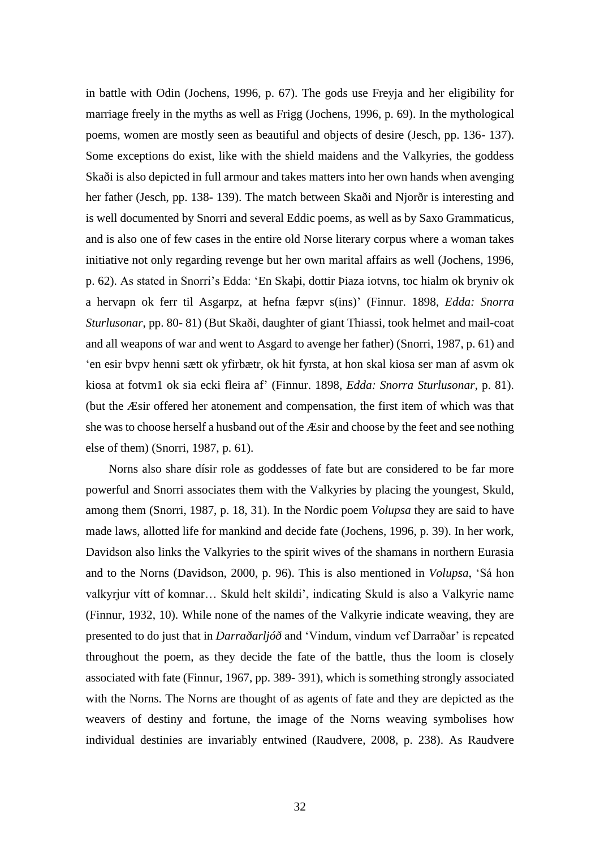in battle with Odin (Jochens, 1996, p. 67). The gods use Freyja and her eligibility for marriage freely in the myths as well as Frigg (Jochens, 1996, p. 69). In the mythological poems, women are mostly seen as beautiful and objects of desire (Jesch, pp. 136- 137). Some exceptions do exist, like with the shield maidens and the Valkyries, the goddess Skaði is also depicted in full armour and takes matters into her own hands when avenging her father (Jesch, pp. 138- 139). The match between Skaði and Njorðr is interesting and is well documented by Snorri and several Eddic poems, as well as by Saxo Grammaticus, and is also one of few cases in the entire old Norse literary corpus where a woman takes initiative not only regarding revenge but her own marital affairs as well (Jochens, 1996, p. 62). As stated in Snorri's Edda: 'En Skaþi, dottir Þiaza iotvns, toc hialm ok bryniv ok a hervapn ok ferr til Asgarpz, at hefna fæpvr s(ins)' (Finnur. 1898, *Edda: Snorra Sturlusonar*, pp. 80- 81) (But Skaði, daughter of giant Thiassi, took helmet and mail-coat and all weapons of war and went to Asgard to avenge her father) (Snorri, 1987, p. 61) and 'en esir bvpv henni sætt ok yfirbætr, ok hit fyrsta, at hon skal kiosa ser man af asvm ok kiosa at fotvm1 ok sia ecki fleira af' (Finnur. 1898, *Edda: Snorra Sturlusonar*, p. 81). (but the Æsir offered her atonement and compensation, the first item of which was that she was to choose herself a husband out of the Æsir and choose by the feet and see nothing else of them) (Snorri, 1987, p. 61).

Norns also share dísir role as goddesses of fate but are considered to be far more powerful and Snorri associates them with the Valkyries by placing the youngest, Skuld, among them (Snorri, 1987, p. 18, 31). In the Nordic poem *Volupsa* they are said to have made laws, allotted life for mankind and decide fate (Jochens, 1996, p. 39). In her work, Davidson also links the Valkyries to the spirit wives of the shamans in northern Eurasia and to the Norns (Davidson, 2000, p. 96). This is also mentioned in *Volupsa*, 'Sá hon valkyrjur vítt of komnar… Skuld helt skildi', indicating Skuld is also a Valkyrie name (Finnur, 1932, 10). While none of the names of the Valkyrie indicate weaving, they are presented to do just that in *Darraðarljóð* and 'Vindum, vindum vef Darraðar' is repeated throughout the poem, as they decide the fate of the battle, thus the loom is closely associated with fate (Finnur, 1967, pp. 389- 391), which is something strongly associated with the Norns. The Norns are thought of as agents of fate and they are depicted as the weavers of destiny and fortune, the image of the Norns weaving symbolises how individual destinies are invariably entwined (Raudvere, 2008, p. 238). As Raudvere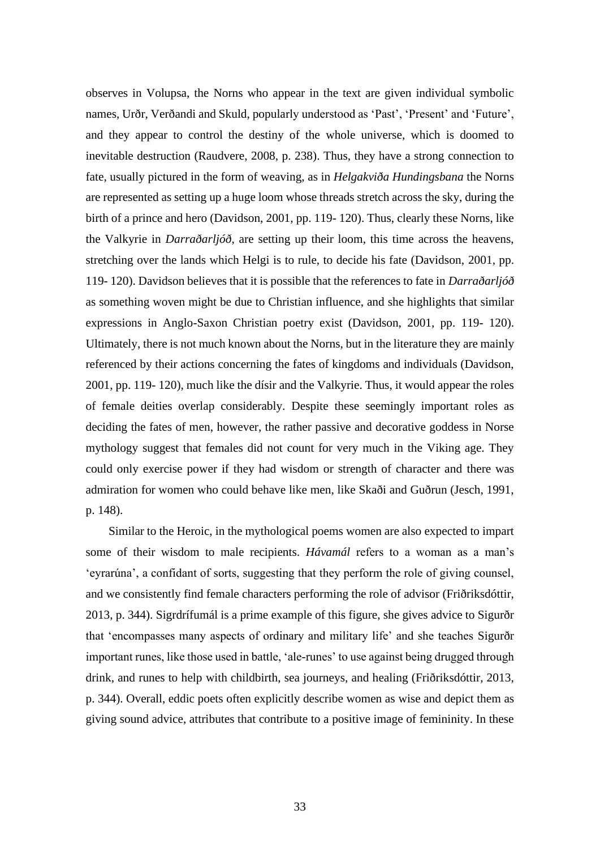observes in Volupsa, the Norns who appear in the text are given individual symbolic names, Urðr, Verðandi and Skuld, popularly understood as 'Past', 'Present' and 'Future', and they appear to control the destiny of the whole universe, which is doomed to inevitable destruction (Raudvere, 2008, p. 238). Thus, they have a strong connection to fate, usually pictured in the form of weaving, as in *Helgakviða Hundingsbana* the Norns are represented as setting up a huge loom whose threads stretch across the sky, during the birth of a prince and hero (Davidson, 2001, pp. 119- 120). Thus, clearly these Norns, like the Valkyrie in *Darraðarljóð*, are setting up their loom, this time across the heavens, stretching over the lands which Helgi is to rule, to decide his fate (Davidson, 2001, pp. 119- 120). Davidson believes that it is possible that the references to fate in *Darraðarljóð* as something woven might be due to Christian influence, and she highlights that similar expressions in Anglo-Saxon Christian poetry exist (Davidson, 2001, pp. 119- 120). Ultimately, there is not much known about the Norns, but in the literature they are mainly referenced by their actions concerning the fates of kingdoms and individuals (Davidson, 2001, pp. 119- 120), much like the dísir and the Valkyrie. Thus, it would appear the roles of female deities overlap considerably. Despite these seemingly important roles as deciding the fates of men, however, the rather passive and decorative goddess in Norse mythology suggest that females did not count for very much in the Viking age. They could only exercise power if they had wisdom or strength of character and there was admiration for women who could behave like men, like Skaði and Guðrun (Jesch, 1991, p. 148).

Similar to the Heroic, in the mythological poems women are also expected to impart some of their wisdom to male recipients. *Hávamál* refers to a woman as a man's 'eyrarúna', a confidant of sorts, suggesting that they perform the role of giving counsel, and we consistently find female characters performing the role of advisor (Friðriksdóttir, 2013, p. 344). Sigrdrífumál is a prime example of this figure, she gives advice to Sigurðr that 'encompasses many aspects of ordinary and military life' and she teaches Sigurðr important runes, like those used in battle, 'ale-runes' to use against being drugged through drink, and runes to help with childbirth, sea journeys, and healing (Friðriksdóttir, 2013, p. 344). Overall, eddic poets often explicitly describe women as wise and depict them as giving sound advice, attributes that contribute to a positive image of femininity. In these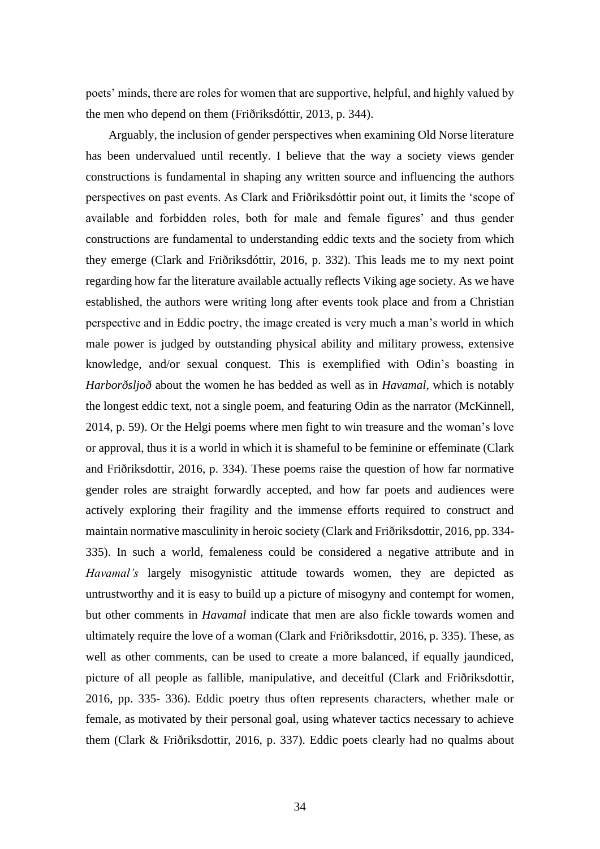poets' minds, there are roles for women that are supportive, helpful, and highly valued by the men who depend on them (Friðriksdóttir, 2013, p. 344).

Arguably, the inclusion of gender perspectives when examining Old Norse literature has been undervalued until recently. I believe that the way a society views gender constructions is fundamental in shaping any written source and influencing the authors perspectives on past events. As Clark and Friðriksdóttir point out, it limits the 'scope of available and forbidden roles, both for male and female figures' and thus gender constructions are fundamental to understanding eddic texts and the society from which they emerge (Clark and Friðriksdóttir, 2016, p. 332). This leads me to my next point regarding how far the literature available actually reflects Viking age society. As we have established, the authors were writing long after events took place and from a Christian perspective and in Eddic poetry, the image created is very much a man's world in which male power is judged by outstanding physical ability and military prowess, extensive knowledge, and/or sexual conquest. This is exemplified with Odin's boasting in *Harborðsljoð* about the women he has bedded as well as in *Havamal*, which is notably the longest eddic text, not a single poem, and featuring Odin as the narrator (McKinnell, 2014, p. 59). Or the Helgi poems where men fight to win treasure and the woman's love or approval, thus it is a world in which it is shameful to be feminine or effeminate (Clark and Friðriksdottir, 2016, p. 334). These poems raise the question of how far normative gender roles are straight forwardly accepted, and how far poets and audiences were actively exploring their fragility and the immense efforts required to construct and maintain normative masculinity in heroic society (Clark and Friðriksdottir, 2016, pp. 334- 335). In such a world, femaleness could be considered a negative attribute and in *Havamal's* largely misogynistic attitude towards women, they are depicted as untrustworthy and it is easy to build up a picture of misogyny and contempt for women, but other comments in *Havamal* indicate that men are also fickle towards women and ultimately require the love of a woman (Clark and Friðriksdottir, 2016, p. 335). These, as well as other comments, can be used to create a more balanced, if equally jaundiced, picture of all people as fallible, manipulative, and deceitful (Clark and Friðriksdottir, 2016, pp. 335- 336). Eddic poetry thus often represents characters, whether male or female, as motivated by their personal goal, using whatever tactics necessary to achieve them (Clark & Friðriksdottir, 2016, p. 337). Eddic poets clearly had no qualms about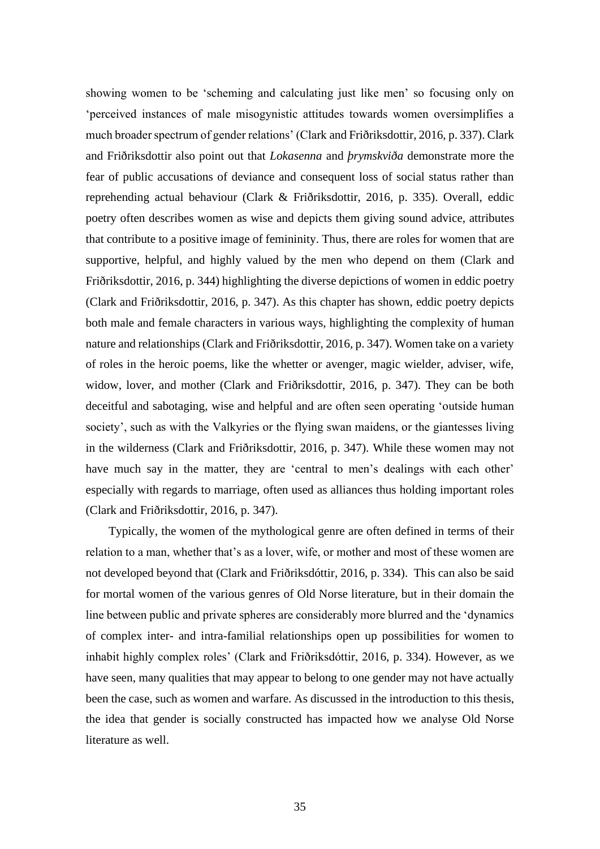showing women to be 'scheming and calculating just like men' so focusing only on 'perceived instances of male misogynistic attitudes towards women oversimplifies a much broader spectrum of gender relations' (Clark and Friðriksdottir, 2016, p. 337). Clark and Friðriksdottir also point out that *Lokasenna* and *þrymskviða* demonstrate more the fear of public accusations of deviance and consequent loss of social status rather than reprehending actual behaviour (Clark & Friðriksdottir, 2016, p. 335). Overall, eddic poetry often describes women as wise and depicts them giving sound advice, attributes that contribute to a positive image of femininity. Thus, there are roles for women that are supportive, helpful, and highly valued by the men who depend on them (Clark and Friðriksdottir, 2016, p. 344) highlighting the diverse depictions of women in eddic poetry (Clark and Friðriksdottir, 2016, p. 347). As this chapter has shown, eddic poetry depicts both male and female characters in various ways, highlighting the complexity of human nature and relationships (Clark and Friðriksdottir, 2016, p. 347). Women take on a variety of roles in the heroic poems, like the whetter or avenger, magic wielder, adviser, wife, widow, lover, and mother (Clark and Friðriksdottir, 2016, p. 347). They can be both deceitful and sabotaging, wise and helpful and are often seen operating 'outside human society', such as with the Valkyries or the flying swan maidens, or the giantesses living in the wilderness (Clark and Friðriksdottir, 2016, p. 347). While these women may not have much say in the matter, they are 'central to men's dealings with each other' especially with regards to marriage, often used as alliances thus holding important roles (Clark and Friðriksdottir, 2016, p. 347).

Typically, the women of the mythological genre are often defined in terms of their relation to a man, whether that's as a lover, wife, or mother and most of these women are not developed beyond that (Clark and Friðriksdóttir, 2016, p. 334). This can also be said for mortal women of the various genres of Old Norse literature, but in their domain the line between public and private spheres are considerably more blurred and the 'dynamics of complex inter- and intra-familial relationships open up possibilities for women to inhabit highly complex roles' (Clark and Friðriksdóttir, 2016, p. 334). However, as we have seen, many qualities that may appear to belong to one gender may not have actually been the case, such as women and warfare. As discussed in the introduction to this thesis, the idea that gender is socially constructed has impacted how we analyse Old Norse literature as well.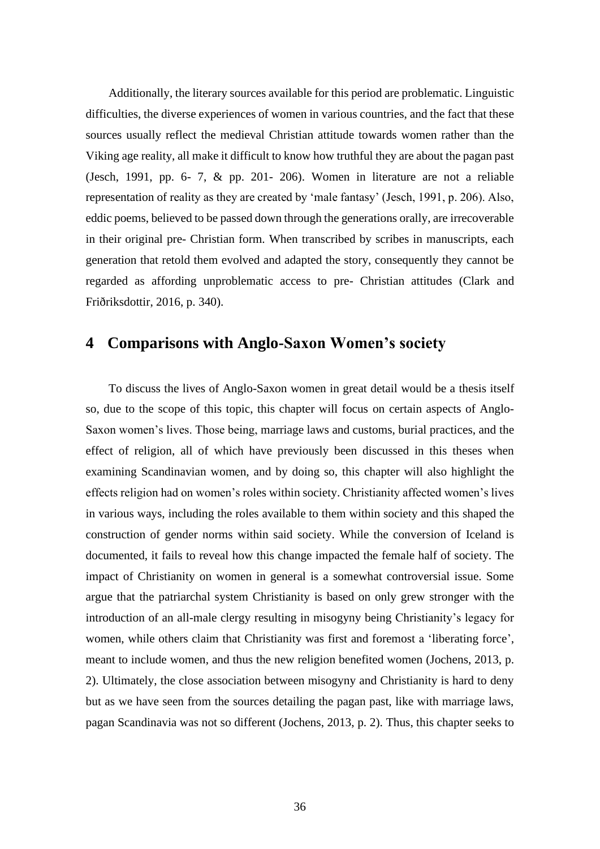Additionally, the literary sources available for this period are problematic. Linguistic difficulties, the diverse experiences of women in various countries, and the fact that these sources usually reflect the medieval Christian attitude towards women rather than the Viking age reality, all make it difficult to know how truthful they are about the pagan past (Jesch, 1991, pp. 6- 7, & pp. 201- 206). Women in literature are not a reliable representation of reality as they are created by 'male fantasy' (Jesch, 1991, p. 206). Also, eddic poems, believed to be passed down through the generations orally, are irrecoverable in their original pre- Christian form. When transcribed by scribes in manuscripts, each generation that retold them evolved and adapted the story, consequently they cannot be regarded as affording unproblematic access to pre- Christian attitudes (Clark and Friðriksdottir, 2016, p. 340).

#### **4 Comparisons with Anglo-Saxon Women's society**

To discuss the lives of Anglo-Saxon women in great detail would be a thesis itself so, due to the scope of this topic, this chapter will focus on certain aspects of Anglo-Saxon women's lives. Those being, marriage laws and customs, burial practices, and the effect of religion, all of which have previously been discussed in this theses when examining Scandinavian women, and by doing so, this chapter will also highlight the effects religion had on women's roles within society. Christianity affected women's lives in various ways, including the roles available to them within society and this shaped the construction of gender norms within said society. While the conversion of Iceland is documented, it fails to reveal how this change impacted the female half of society. The impact of Christianity on women in general is a somewhat controversial issue. Some argue that the patriarchal system Christianity is based on only grew stronger with the introduction of an all-male clergy resulting in misogyny being Christianity's legacy for women, while others claim that Christianity was first and foremost a 'liberating force', meant to include women, and thus the new religion benefited women (Jochens, 2013, p. 2). Ultimately, the close association between misogyny and Christianity is hard to deny but as we have seen from the sources detailing the pagan past, like with marriage laws, pagan Scandinavia was not so different (Jochens, 2013, p. 2). Thus, this chapter seeks to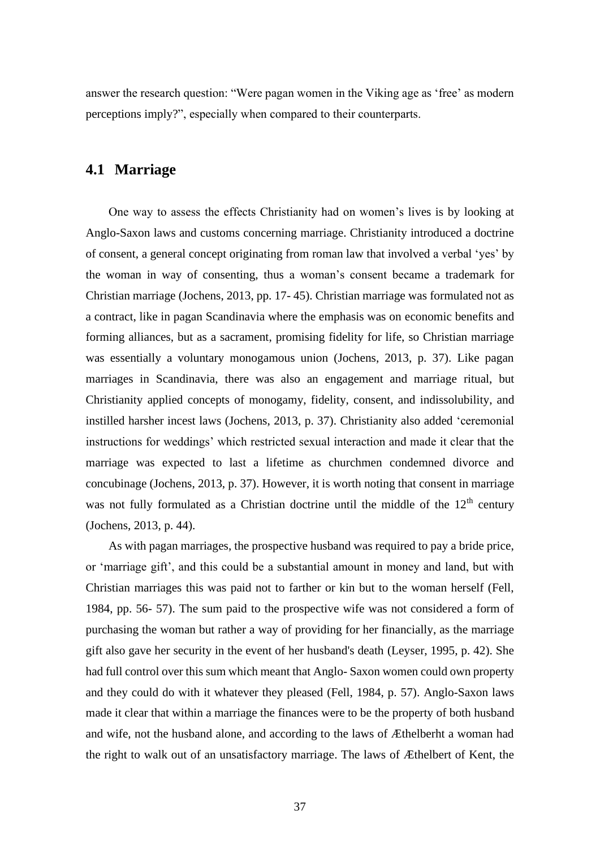answer the research question: "Were pagan women in the Viking age as 'free' as modern perceptions imply?", especially when compared to their counterparts.

#### **4.1 Marriage**

One way to assess the effects Christianity had on women's lives is by looking at Anglo-Saxon laws and customs concerning marriage. Christianity introduced a doctrine of consent, a general concept originating from roman law that involved a verbal 'yes' by the woman in way of consenting, thus a woman's consent became a trademark for Christian marriage (Jochens, 2013, pp. 17- 45). Christian marriage was formulated not as a contract, like in pagan Scandinavia where the emphasis was on economic benefits and forming alliances, but as a sacrament, promising fidelity for life, so Christian marriage was essentially a voluntary monogamous union (Jochens, 2013, p. 37). Like pagan marriages in Scandinavia, there was also an engagement and marriage ritual, but Christianity applied concepts of monogamy, fidelity, consent, and indissolubility, and instilled harsher incest laws (Jochens, 2013, p. 37). Christianity also added 'ceremonial instructions for weddings' which restricted sexual interaction and made it clear that the marriage was expected to last a lifetime as churchmen condemned divorce and concubinage (Jochens, 2013, p. 37). However, it is worth noting that consent in marriage was not fully formulated as a Christian doctrine until the middle of the  $12<sup>th</sup>$  century (Jochens, 2013, p. 44).

As with pagan marriages, the prospective husband was required to pay a bride price, or 'marriage gift', and this could be a substantial amount in money and land, but with Christian marriages this was paid not to farther or kin but to the woman herself (Fell, 1984, pp. 56- 57). The sum paid to the prospective wife was not considered a form of purchasing the woman but rather a way of providing for her financially, as the marriage gift also gave her security in the event of her husband's death (Leyser, 1995, p. 42). She had full control over this sum which meant that Anglo- Saxon women could own property and they could do with it whatever they pleased (Fell, 1984, p. 57). Anglo-Saxon laws made it clear that within a marriage the finances were to be the property of both husband and wife, not the husband alone, and according to the laws of Æthelberht a woman had the right to walk out of an unsatisfactory marriage. The laws of Æthelbert of Kent, the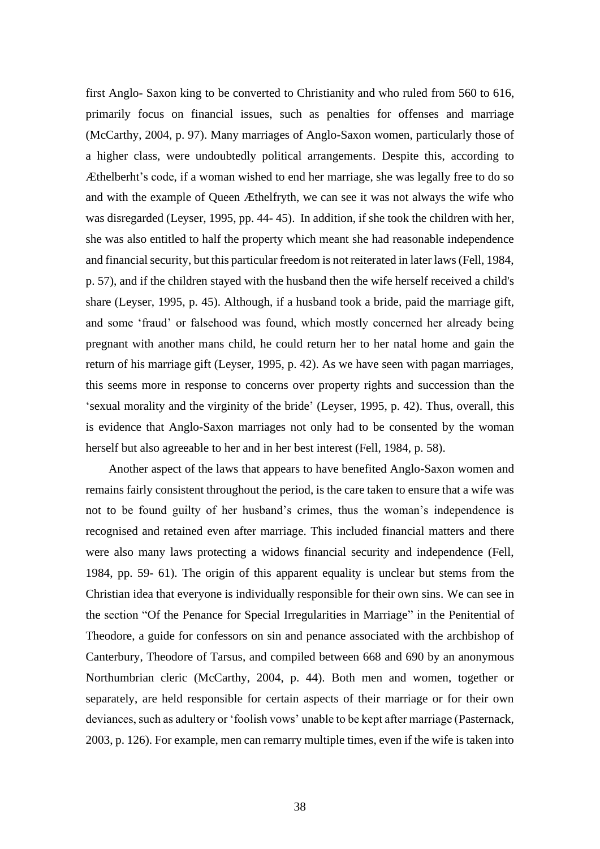first Anglo- Saxon king to be converted to Christianity and who ruled from 560 to 616, primarily focus on financial issues, such as penalties for offenses and marriage (McCarthy, 2004, p. 97). Many marriages of Anglo-Saxon women, particularly those of a higher class, were undoubtedly political arrangements. Despite this, according to Æthelberht's code, if a woman wished to end her marriage, she was legally free to do so and with the example of Queen Æthelfryth, we can see it was not always the wife who was disregarded (Leyser, 1995, pp. 44- 45). In addition, if she took the children with her, she was also entitled to half the property which meant she had reasonable independence and financial security, but this particular freedom is not reiterated in later laws (Fell, 1984, p. 57), and if the children stayed with the husband then the wife herself received a child's share (Leyser, 1995, p. 45). Although, if a husband took a bride, paid the marriage gift, and some 'fraud' or falsehood was found, which mostly concerned her already being pregnant with another mans child, he could return her to her natal home and gain the return of his marriage gift (Leyser, 1995, p. 42). As we have seen with pagan marriages, this seems more in response to concerns over property rights and succession than the 'sexual morality and the virginity of the bride' (Leyser, 1995, p. 42). Thus, overall, this is evidence that Anglo-Saxon marriages not only had to be consented by the woman herself but also agreeable to her and in her best interest (Fell, 1984, p. 58).

Another aspect of the laws that appears to have benefited Anglo-Saxon women and remains fairly consistent throughout the period, is the care taken to ensure that a wife was not to be found guilty of her husband's crimes, thus the woman's independence is recognised and retained even after marriage. This included financial matters and there were also many laws protecting a widows financial security and independence (Fell, 1984, pp. 59- 61). The origin of this apparent equality is unclear but stems from the Christian idea that everyone is individually responsible for their own sins. We can see in the section "Of the Penance for Special Irregularities in Marriage" in the Penitential of Theodore, a guide for confessors on sin and penance associated with the archbishop of Canterbury, Theodore of Tarsus, and compiled between 668 and 690 by an anonymous Northumbrian cleric (McCarthy, 2004, p. 44). Both men and women, together or separately, are held responsible for certain aspects of their marriage or for their own deviances, such as adultery or 'foolish vows' unable to be kept after marriage (Pasternack, 2003, p. 126). For example, men can remarry multiple times, even if the wife is taken into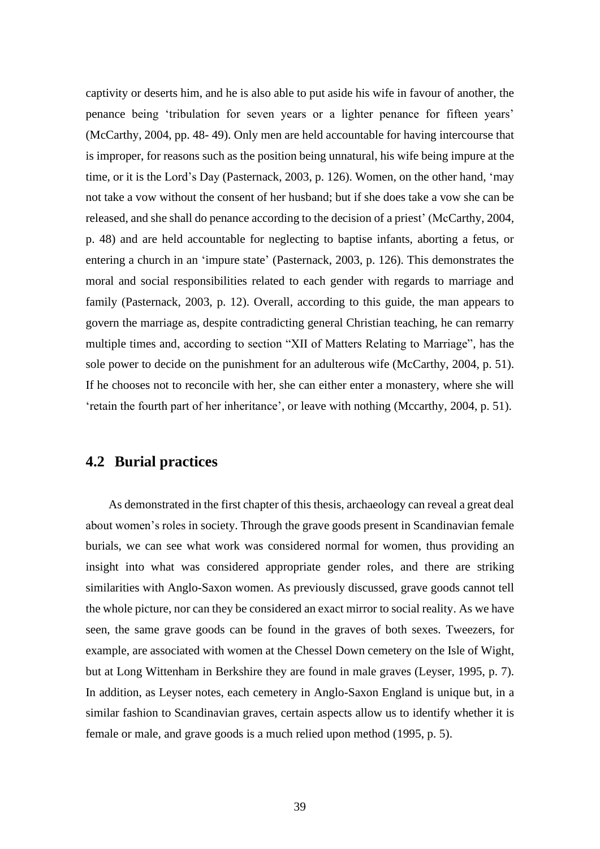captivity or deserts him, and he is also able to put aside his wife in favour of another, the penance being 'tribulation for seven years or a lighter penance for fifteen years' (McCarthy, 2004, pp. 48- 49). Only men are held accountable for having intercourse that is improper, for reasons such as the position being unnatural, his wife being impure at the time, or it is the Lord's Day (Pasternack, 2003, p. 126). Women, on the other hand, 'may not take a vow without the consent of her husband; but if she does take a vow she can be released, and she shall do penance according to the decision of a priest' (McCarthy, 2004, p. 48) and are held accountable for neglecting to baptise infants, aborting a fetus, or entering a church in an 'impure state' (Pasternack, 2003, p. 126). This demonstrates the moral and social responsibilities related to each gender with regards to marriage and family (Pasternack, 2003, p. 12). Overall, according to this guide, the man appears to govern the marriage as, despite contradicting general Christian teaching, he can remarry multiple times and, according to section "XII of Matters Relating to Marriage", has the sole power to decide on the punishment for an adulterous wife (McCarthy, 2004, p. 51). If he chooses not to reconcile with her, she can either enter a monastery, where she will 'retain the fourth part of her inheritance', or leave with nothing (Mccarthy, 2004, p. 51).

#### **4.2 Burial practices**

As demonstrated in the first chapter of this thesis, archaeology can reveal a great deal about women's roles in society. Through the grave goods present in Scandinavian female burials, we can see what work was considered normal for women, thus providing an insight into what was considered appropriate gender roles, and there are striking similarities with Anglo-Saxon women. As previously discussed, grave goods cannot tell the whole picture, nor can they be considered an exact mirror to social reality. As we have seen, the same grave goods can be found in the graves of both sexes. Tweezers, for example, are associated with women at the Chessel Down cemetery on the Isle of Wight, but at Long Wittenham in Berkshire they are found in male graves (Leyser, 1995, p. 7). In addition, as Leyser notes, each cemetery in Anglo-Saxon England is unique but, in a similar fashion to Scandinavian graves, certain aspects allow us to identify whether it is female or male, and grave goods is a much relied upon method (1995, p. 5).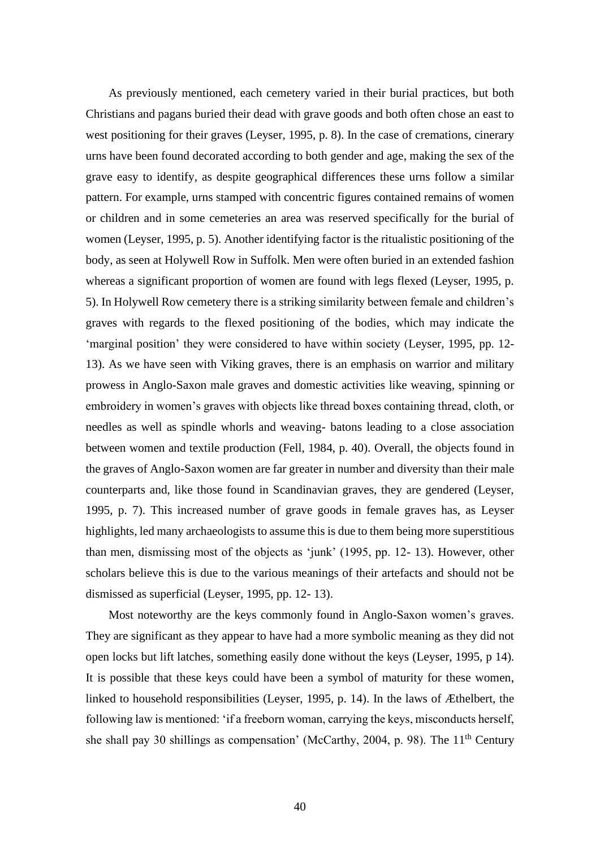As previously mentioned, each cemetery varied in their burial practices, but both Christians and pagans buried their dead with grave goods and both often chose an east to west positioning for their graves (Leyser, 1995, p. 8). In the case of cremations, cinerary urns have been found decorated according to both gender and age, making the sex of the grave easy to identify, as despite geographical differences these urns follow a similar pattern. For example, urns stamped with concentric figures contained remains of women or children and in some cemeteries an area was reserved specifically for the burial of women (Leyser, 1995, p. 5). Another identifying factor is the ritualistic positioning of the body, as seen at Holywell Row in Suffolk. Men were often buried in an extended fashion whereas a significant proportion of women are found with legs flexed (Leyser, 1995, p. 5). In Holywell Row cemetery there is a striking similarity between female and children's graves with regards to the flexed positioning of the bodies, which may indicate the 'marginal position' they were considered to have within society (Leyser, 1995, pp. 12- 13). As we have seen with Viking graves, there is an emphasis on warrior and military prowess in Anglo-Saxon male graves and domestic activities like weaving, spinning or embroidery in women's graves with objects like thread boxes containing thread, cloth, or needles as well as spindle whorls and weaving- batons leading to a close association between women and textile production (Fell, 1984, p. 40). Overall, the objects found in the graves of Anglo-Saxon women are far greater in number and diversity than their male counterparts and, like those found in Scandinavian graves, they are gendered (Leyser, 1995, p. 7). This increased number of grave goods in female graves has, as Leyser highlights, led many archaeologists to assume this is due to them being more superstitious than men, dismissing most of the objects as 'junk' (1995, pp. 12- 13). However, other scholars believe this is due to the various meanings of their artefacts and should not be dismissed as superficial (Leyser, 1995, pp. 12- 13).

Most noteworthy are the keys commonly found in Anglo-Saxon women's graves. They are significant as they appear to have had a more symbolic meaning as they did not open locks but lift latches, something easily done without the keys (Leyser, 1995, p 14). It is possible that these keys could have been a symbol of maturity for these women, linked to household responsibilities (Leyser, 1995, p. 14). In the laws of Æthelbert, the following law is mentioned: 'if a freeborn woman, carrying the keys, misconducts herself, she shall pay 30 shillings as compensation' (McCarthy, 2004, p. 98). The  $11<sup>th</sup>$  Century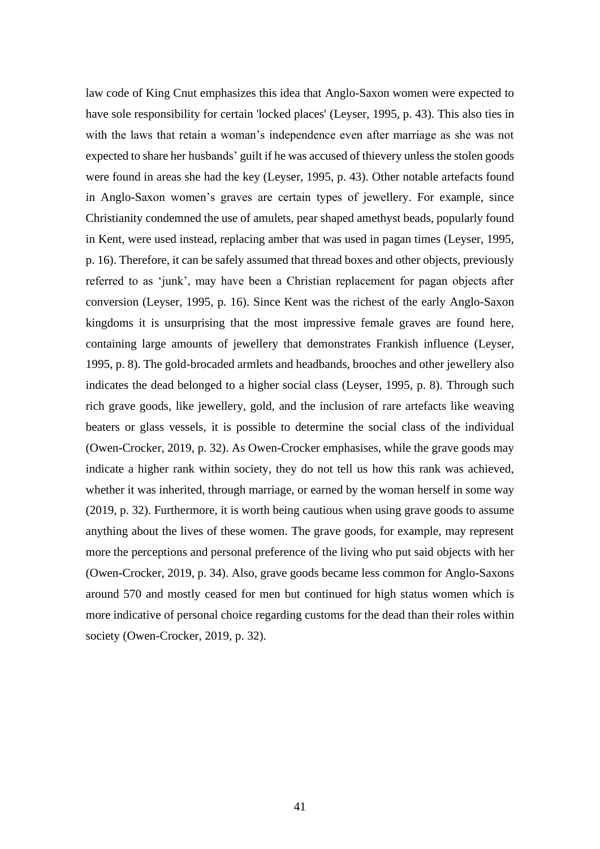law code of King Cnut emphasizes this idea that Anglo-Saxon women were expected to have sole responsibility for certain 'locked places' (Leyser, 1995, p. 43). This also ties in with the laws that retain a woman's independence even after marriage as she was not expected to share her husbands' guilt if he was accused of thievery unless the stolen goods were found in areas she had the key (Leyser, 1995, p. 43). Other notable artefacts found in Anglo-Saxon women's graves are certain types of jewellery. For example, since Christianity condemned the use of amulets, pear shaped amethyst beads, popularly found in Kent, were used instead, replacing amber that was used in pagan times (Leyser, 1995, p. 16). Therefore, it can be safely assumed that thread boxes and other objects, previously referred to as 'junk', may have been a Christian replacement for pagan objects after conversion (Leyser, 1995, p. 16). Since Kent was the richest of the early Anglo-Saxon kingdoms it is unsurprising that the most impressive female graves are found here, containing large amounts of jewellery that demonstrates Frankish influence (Leyser, 1995, p. 8). The gold-brocaded armlets and headbands, brooches and other jewellery also indicates the dead belonged to a higher social class (Leyser, 1995, p. 8). Through such rich grave goods, like jewellery, gold, and the inclusion of rare artefacts like weaving beaters or glass vessels, it is possible to determine the social class of the individual (Owen-Crocker, 2019, p. 32). As Owen-Crocker emphasises, while the grave goods may indicate a higher rank within society, they do not tell us how this rank was achieved, whether it was inherited, through marriage, or earned by the woman herself in some way (2019, p. 32). Furthermore, it is worth being cautious when using grave goods to assume anything about the lives of these women. The grave goods, for example, may represent more the perceptions and personal preference of the living who put said objects with her (Owen-Crocker, 2019, p. 34). Also, grave goods became less common for Anglo-Saxons around 570 and mostly ceased for men but continued for high status women which is more indicative of personal choice regarding customs for the dead than their roles within society (Owen-Crocker, 2019, p. 32).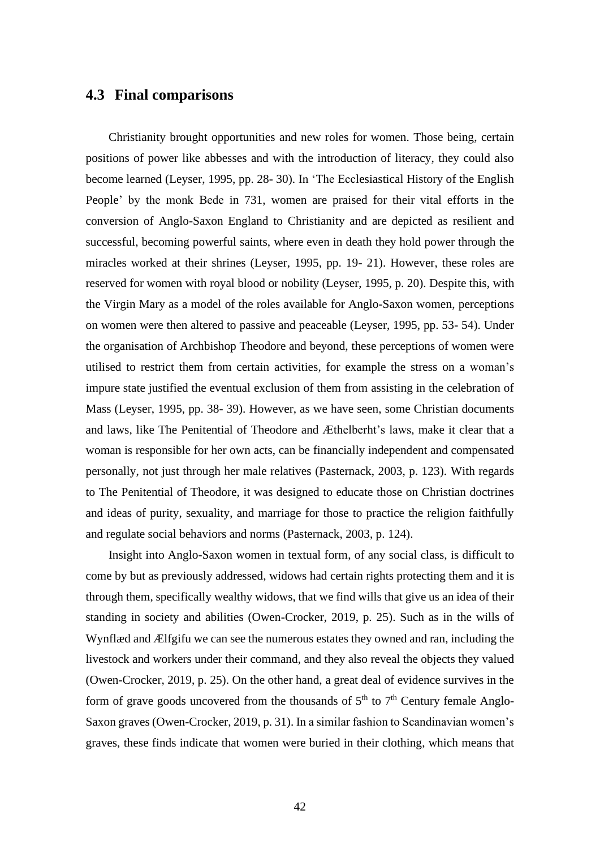#### **4.3 Final comparisons**

Christianity brought opportunities and new roles for women. Those being, certain positions of power like abbesses and with the introduction of literacy, they could also become learned (Leyser, 1995, pp. 28- 30). In 'The Ecclesiastical History of the English People' by the monk Bede in 731, women are praised for their vital efforts in the conversion of Anglo-Saxon England to Christianity and are depicted as resilient and successful, becoming powerful saints, where even in death they hold power through the miracles worked at their shrines (Leyser, 1995, pp. 19- 21). However, these roles are reserved for women with royal blood or nobility (Leyser, 1995, p. 20). Despite this, with the Virgin Mary as a model of the roles available for Anglo-Saxon women, perceptions on women were then altered to passive and peaceable (Leyser, 1995, pp. 53- 54). Under the organisation of Archbishop Theodore and beyond, these perceptions of women were utilised to restrict them from certain activities, for example the stress on a woman's impure state justified the eventual exclusion of them from assisting in the celebration of Mass (Leyser, 1995, pp. 38- 39). However, as we have seen, some Christian documents and laws, like The Penitential of Theodore and Æthelberht's laws, make it clear that a woman is responsible for her own acts, can be financially independent and compensated personally, not just through her male relatives (Pasternack, 2003, p. 123). With regards to The Penitential of Theodore, it was designed to educate those on Christian doctrines and ideas of purity, sexuality, and marriage for those to practice the religion faithfully and regulate social behaviors and norms (Pasternack, 2003, p. 124).

Insight into Anglo-Saxon women in textual form, of any social class, is difficult to come by but as previously addressed, widows had certain rights protecting them and it is through them, specifically wealthy widows, that we find wills that give us an idea of their standing in society and abilities (Owen-Crocker, 2019, p. 25). Such as in the wills of Wynflæd and Ælfgifu we can see the numerous estates they owned and ran, including the livestock and workers under their command, and they also reveal the objects they valued (Owen-Crocker, 2019, p. 25). On the other hand, a great deal of evidence survives in the form of grave goods uncovered from the thousands of  $5<sup>th</sup>$  to  $7<sup>th</sup>$  Century female Anglo-Saxon graves (Owen-Crocker, 2019, p. 31). In a similar fashion to Scandinavian women's graves, these finds indicate that women were buried in their clothing, which means that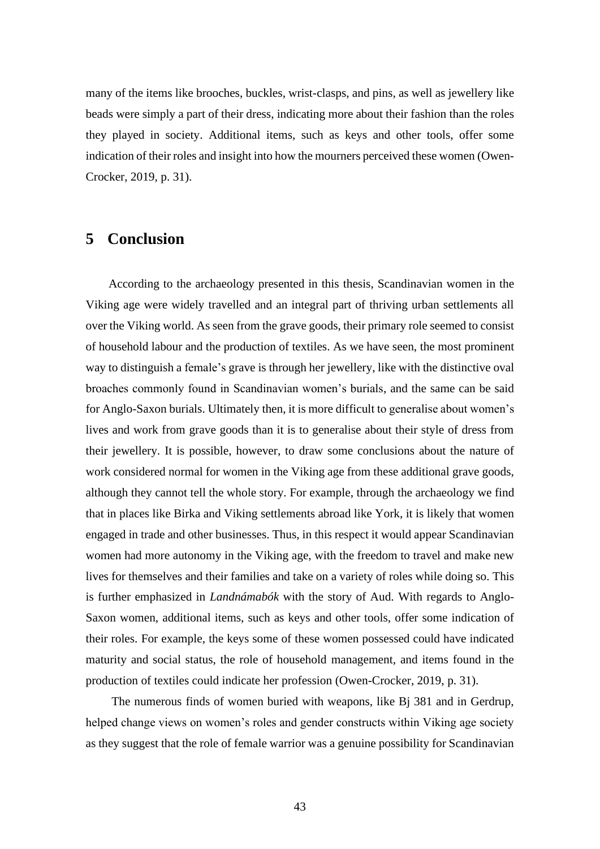many of the items like brooches, buckles, wrist-clasps, and pins, as well as jewellery like beads were simply a part of their dress, indicating more about their fashion than the roles they played in society. Additional items, such as keys and other tools, offer some indication of their roles and insight into how the mourners perceived these women (Owen-Crocker, 2019, p. 31).

#### **5 Conclusion**

According to the archaeology presented in this thesis, Scandinavian women in the Viking age were widely travelled and an integral part of thriving urban settlements all over the Viking world. As seen from the grave goods, their primary role seemed to consist of household labour and the production of textiles. As we have seen, the most prominent way to distinguish a female's grave is through her jewellery, like with the distinctive oval broaches commonly found in Scandinavian women's burials, and the same can be said for Anglo-Saxon burials. Ultimately then, it is more difficult to generalise about women's lives and work from grave goods than it is to generalise about their style of dress from their jewellery. It is possible, however, to draw some conclusions about the nature of work considered normal for women in the Viking age from these additional grave goods, although they cannot tell the whole story. For example, through the archaeology we find that in places like Birka and Viking settlements abroad like York, it is likely that women engaged in trade and other businesses. Thus, in this respect it would appear Scandinavian women had more autonomy in the Viking age, with the freedom to travel and make new lives for themselves and their families and take on a variety of roles while doing so. This is further emphasized in *Landnámabók* with the story of Aud. With regards to Anglo-Saxon women, additional items, such as keys and other tools, offer some indication of their roles. For example, the keys some of these women possessed could have indicated maturity and social status, the role of household management, and items found in the production of textiles could indicate her profession (Owen-Crocker, 2019, p. 31).

The numerous finds of women buried with weapons, like Bj 381 and in Gerdrup, helped change views on women's roles and gender constructs within Viking age society as they suggest that the role of female warrior was a genuine possibility for Scandinavian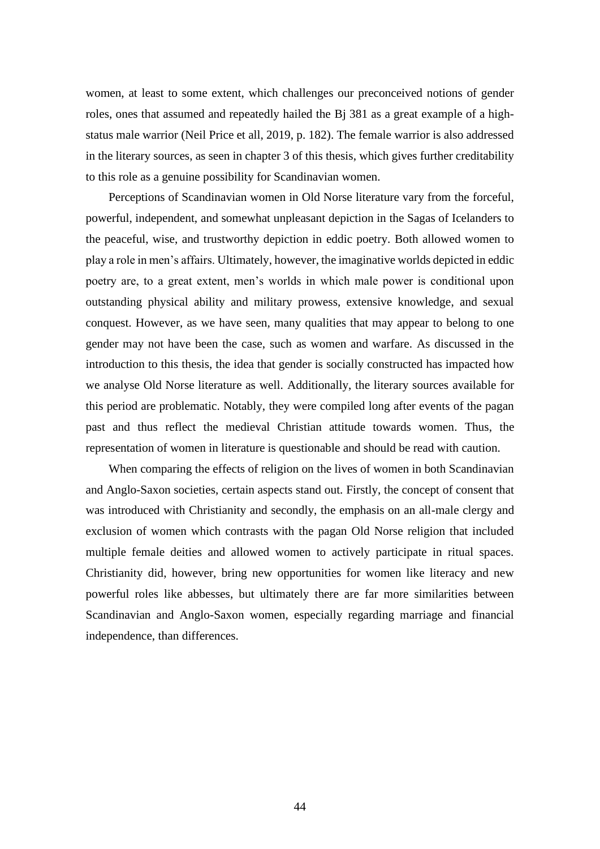women, at least to some extent, which challenges our preconceived notions of gender roles, ones that assumed and repeatedly hailed the Bj 381 as a great example of a highstatus male warrior (Neil Price et all, 2019, p. 182). The female warrior is also addressed in the literary sources, as seen in chapter 3 of this thesis, which gives further creditability to this role as a genuine possibility for Scandinavian women.

Perceptions of Scandinavian women in Old Norse literature vary from the forceful, powerful, independent, and somewhat unpleasant depiction in the Sagas of Icelanders to the peaceful, wise, and trustworthy depiction in eddic poetry. Both allowed women to play a role in men's affairs. Ultimately, however, the imaginative worlds depicted in eddic poetry are, to a great extent, men's worlds in which male power is conditional upon outstanding physical ability and military prowess, extensive knowledge, and sexual conquest. However, as we have seen, many qualities that may appear to belong to one gender may not have been the case, such as women and warfare. As discussed in the introduction to this thesis, the idea that gender is socially constructed has impacted how we analyse Old Norse literature as well. Additionally, the literary sources available for this period are problematic. Notably, they were compiled long after events of the pagan past and thus reflect the medieval Christian attitude towards women. Thus, the representation of women in literature is questionable and should be read with caution.

When comparing the effects of religion on the lives of women in both Scandinavian and Anglo-Saxon societies, certain aspects stand out. Firstly, the concept of consent that was introduced with Christianity and secondly, the emphasis on an all-male clergy and exclusion of women which contrasts with the pagan Old Norse religion that included multiple female deities and allowed women to actively participate in ritual spaces. Christianity did, however, bring new opportunities for women like literacy and new powerful roles like abbesses, but ultimately there are far more similarities between Scandinavian and Anglo-Saxon women, especially regarding marriage and financial independence, than differences.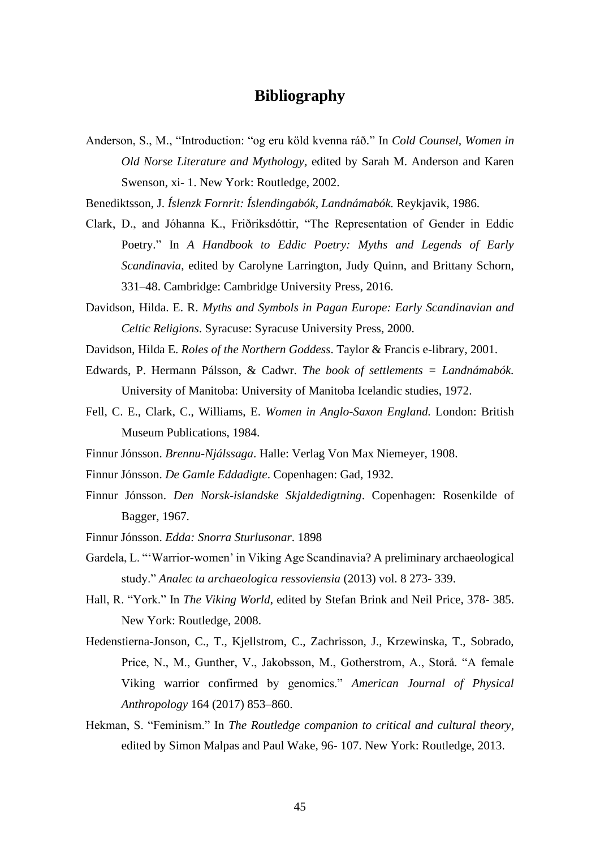#### **Bibliography**

Anderson, S., M., "Introduction: "og eru köld kvenna ráð." In *Cold Counsel, Women in Old Norse Literature and Mythology,* edited by Sarah M. Anderson and Karen Swenson, xi- 1. New York: Routledge, 2002.

Benediktsson, J. *Íslenzk Fornrit: Íslendingabók, Landnámabók.* Reykjavik, 1986.

- Clark, D., and Jóhanna K., Friðriksdóttir, "The Representation of Gender in Eddic Poetry." In *A Handbook to Eddic Poetry: Myths and Legends of Early Scandinavia*, edited by Carolyne Larrington, Judy Quinn, and Brittany Schorn, 331–48. Cambridge: Cambridge University Press, 2016.
- Davidson, Hilda. E. R. *Myths and Symbols in Pagan Europe: Early Scandinavian and Celtic Religions*. Syracuse: Syracuse University Press, 2000.
- Davidson, Hilda E. *Roles of the Northern Goddess*. Taylor & Francis e-library, 2001.
- Edwards, P. Hermann Pálsson, & Cadwr. *The book of settlements = Landnámabók.* University of Manitoba: University of Manitoba Icelandic studies, 1972.
- Fell, C. E., Clark, C., Williams, E. *Women in Anglo-Saxon England.* London: British Museum Publications, 1984.
- Finnur Jónsson. *Brennu-Njálssaga*. Halle: Verlag Von Max Niemeyer, 1908.
- Finnur Jónsson. *De Gamle Eddadigte*. Copenhagen: Gad, 1932.
- Finnur Jónsson. *Den Norsk-islandske Skjaldedigtning*. Copenhagen: Rosenkilde of Bagger, 1967.
- Finnur Jónsson. *Edda: Snorra Sturlusonar*. 1898
- Gardela, L. "'Warrior-women' in Viking Age Scandinavia? A preliminary archaeological study." *Analec ta archaeologica ressoviensia* (2013) vol. 8 273- 339.
- Hall, R. "York." In *The Viking World*, edited by Stefan Brink and Neil Price, 378- 385. New York: Routledge, 2008.
- Hedenstierna-Jonson, C., T., Kjellstrom, C., Zachrisson, J., Krzewinska, T., Sobrado, Price, N., M., Gunther, V., Jakobsson, M., Gotherstrom, A., Storå. "A female Viking warrior confirmed by genomics." *American Journal of Physical Anthropology* 164 (2017) 853–860.
- Hekman, S. "Feminism." In *The Routledge companion to critical and cultural theory*, edited by Simon Malpas and Paul Wake, 96- 107. New York: Routledge, 2013.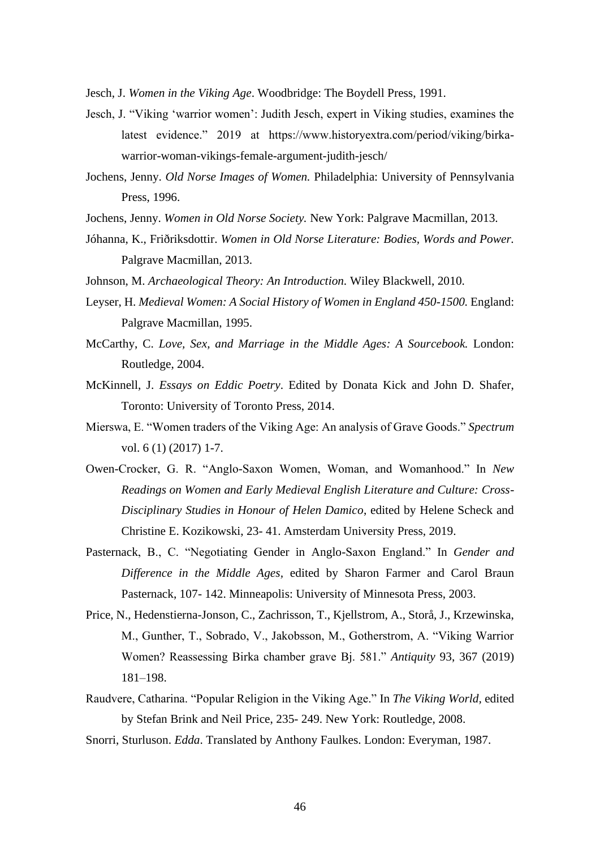Jesch, J. *Women in the Viking Age*. Woodbridge: The Boydell Press, 1991.

- Jesch, J. "Viking 'warrior women': Judith Jesch, expert in Viking studies, examines the latest evidence." 2019 at https://www.historyextra.com/period/viking/birkawarrior-woman-vikings-female-argument-judith-jesch/
- Jochens, Jenny. *Old Norse Images of Women.* Philadelphia: University of Pennsylvania Press, 1996.
- Jochens, Jenny. *Women in Old Norse Society.* New York: Palgrave Macmillan, 2013.
- Jóhanna, K., Friðriksdottir. *Women in Old Norse Literature: Bodies, Words and Power.*  Palgrave Macmillan, 2013.
- Johnson, M. *Archaeological Theory: An Introduction.* Wiley Blackwell, 2010.
- Leyser, H. *Medieval Women: A Social History of Women in England 450-1500.* England: Palgrave Macmillan, 1995.
- McCarthy, C. *Love, Sex, and Marriage in the Middle Ages: A Sourcebook.* London: Routledge, 2004.
- McKinnell, J. *Essays on Eddic Poetry*. Edited by Donata Kick and John D. Shafer, Toronto: University of Toronto Press, 2014.
- Mierswa, E. "Women traders of the Viking Age: An analysis of Grave Goods." *Spectrum* vol. 6 (1) (2017) 1-7.
- Owen-Crocker, G. R. "Anglo-Saxon Women, Woman, and Womanhood." In *New Readings on Women and Early Medieval English Literature and Culture: Cross-Disciplinary Studies in Honour of Helen Damico*, edited by Helene Scheck and Christine E. Kozikowski, 23- 41. Amsterdam University Press, 2019.
- Pasternack, B., C. "Negotiating Gender in Anglo-Saxon England." In *Gender and Difference in the Middle Ages,* edited by Sharon Farmer and Carol Braun Pasternack, 107- 142. Minneapolis: University of Minnesota Press, 2003.
- Price, N., Hedenstierna-Jonson, C., Zachrisson, T., Kjellstrom, A., Storå, J., Krzewinska, M., Gunther, T., Sobrado, V., Jakobsson, M., Gotherstrom, A. "Viking Warrior Women? Reassessing Birka chamber grave Bj. 581." *Antiquity* 93, 367 (2019) 181–198.
- Raudvere, Catharina. "Popular Religion in the Viking Age." In *The Viking World,* edited by Stefan Brink and Neil Price, 235- 249. New York: Routledge, 2008.
- Snorri, Sturluson. *Edda*. Translated by Anthony Faulkes. London: Everyman, 1987.